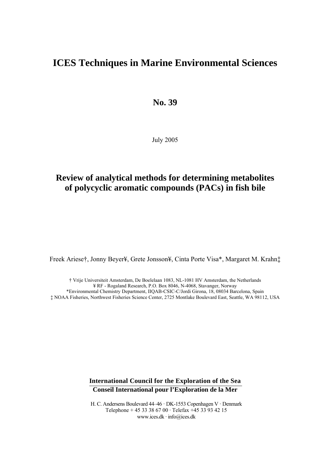# **ICES Techniques in Marine Environmental Sciences**

**No. 39** 

July 2005

# **Review of analytical methods for determining metabolites of polycyclic aromatic compounds (PACs) in fish bile**

Freek Ariese†, Jonny Beyer¥, Grete Jonsson¥, Cinta Porte Visa\*, Margaret M. Krahn‡

† Vrije Universiteit Amsterdam, De Boelelaan 1083, NL-1081 HV Amsterdam, the Netherlands ¥ RF - Rogaland Research, P.O. Box 8046, N-4068, Stavanger, Norway \*Environmental Chemistry Department, IIQAB-CSIC-C/Jordi Girona, 18, 08034 Barcelona, Spain ‡ NOAA Fisheries, Northwest Fisheries Science Center, 2725 Montlake Boulevard East, Seattle, WA 98112, USA

> **International Council for the Exploration of the Sea Conseil International pour l'Exploration de la Mer**

> H. C. Andersens Boulevard 44–46 · DK-1553 Copenhagen V · Denmark Telephone + 45 33 38 67 00 · Telefax +45 33 93 42 15 www.ices.dk · info@ices.dk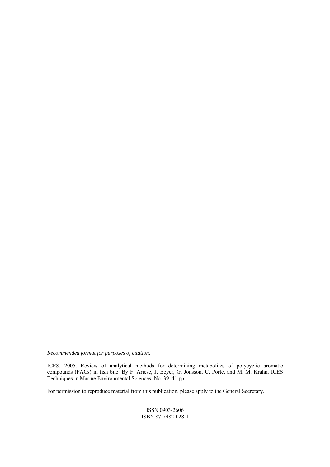*Recommended format for purposes of citation:*

ICES. 2005. Review of analytical methods for determining metabolites of polycyclic aromatic compounds (PACs) in fish bile. By F. Ariese, J. Beyer, G. Jonsson, C. Porte, and M. M. Krahn. ICES Techniques in Marine Environmental Sciences, No. 39. 41 pp.

For permission to reproduce material from this publication, please apply to the General Secretary.

ISSN 0903-2606 ISBN 87-7482-028-1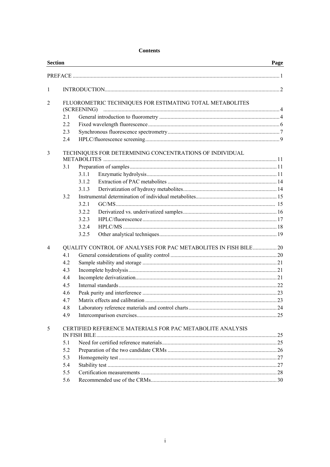#### **Contents**

| <b>Section</b> |                                                             |                                                                                                                                 | Page |
|----------------|-------------------------------------------------------------|---------------------------------------------------------------------------------------------------------------------------------|------|
|                |                                                             |                                                                                                                                 |      |
| 1              |                                                             |                                                                                                                                 |      |
| 2              | 2.1<br>2.2<br>2.3                                           | FLUOROMETRIC TECHNIQUES FOR ESTIMATING TOTAL METABOLITES<br>(SCREENING)                                                         |      |
|                | 2.4                                                         |                                                                                                                                 |      |
| 3              | 3.1<br>3.2                                                  | TECHNIQUES FOR DETERMINING CONCENTRATIONS OF INDIVIDUAL<br>3.1.1<br>3.1.2<br>3.1.3<br>3.2.1<br>3.2.2<br>3.2.3<br>3.2.4<br>3.2.5 |      |
| $\overline{4}$ | 4.1<br>4.2<br>4.3<br>4.4<br>4.5<br>4.6<br>4.7<br>4.8<br>4.9 | <b>QUALITY CONTROL OF ANALYSES FOR PAC METABOLITES IN FISH BILE 20</b>                                                          |      |
| 5              | 5.1<br>5.2<br>5.3<br>5.4<br>5.5<br>5.6                      | CERTIFIED REFERENCE MATERIALS FOR PAC METABOLITE ANALYSIS                                                                       |      |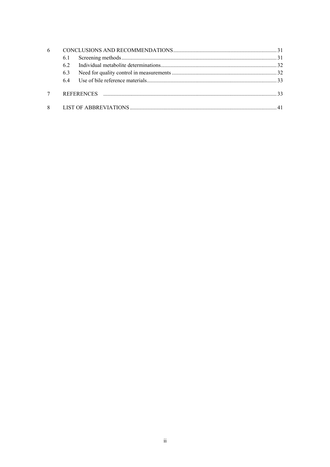| 6 |     |  |  |  |  |  |
|---|-----|--|--|--|--|--|
|   | 6.1 |  |  |  |  |  |
|   | 62  |  |  |  |  |  |
|   | 6.3 |  |  |  |  |  |
|   | 64  |  |  |  |  |  |
|   |     |  |  |  |  |  |
| 8 |     |  |  |  |  |  |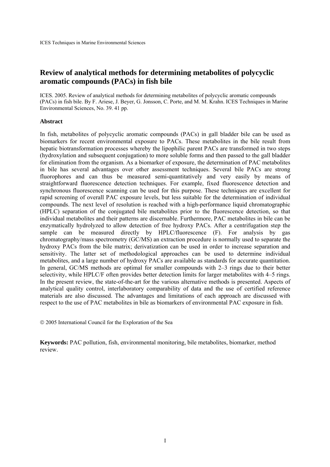## **Review of analytical methods for determining metabolites of polycyclic aromatic compounds (PACs) in fish bile**

ICES. 2005. Review of analytical methods for determining metabolites of polycyclic aromatic compounds (PACs) in fish bile. By F. Ariese, J. Beyer, G. Jonsson, C. Porte, and M. M. Krahn. ICES Techniques in Marine Environmental Sciences, No. 39. 41 pp.

#### **Abstract**

In fish, metabolites of polycyclic aromatic compounds (PACs) in gall bladder bile can be used as biomarkers for recent environmental exposure to PACs. These metabolites in the bile result from hepatic biotransformation processes whereby the lipophilic parent PACs are transformed in two steps (hydroxylation and subsequent conjugation) to more soluble forms and then passed to the gall bladder for elimination from the organism. As a biomarker of exposure, the determination of PAC metabolites in bile has several advantages over other assessment techniques. Several bile PACs are strong fluorophores and can thus be measured semi-quantitatively and very easily by means of straightforward fluorescence detection techniques. For example, fixed fluorescence detection and synchronous fluorescence scanning can be used for this purpose. These techniques are excellent for rapid screening of overall PAC exposure levels, but less suitable for the determination of individual compounds. The next level of resolution is reached with a high-performance liquid chromatographic (HPLC) separation of the conjugated bile metabolites prior to the fluorescence detection, so that individual metabolites and their patterns are discernable. Furthermore, PAC metabolites in bile can be enzymatically hydrolyzed to allow detection of free hydroxy PACs. After a centrifugation step the sample can be measured directly by HPLC/fluorescence (F). For analysis by gas chromatography/mass spectrometry (GC/MS) an extraction procedure is normally used to separate the hydroxy PACs from the bile matrix; derivatization can be used in order to increase separation and sensitivity. The latter set of methodological approaches can be used to determine individual metabolites, and a large number of hydroxy PACs are available as standards for accurate quantitation. In general, GC/MS methods are optimal for smaller compounds with 2–3 rings due to their better selectivity, while HPLC/F often provides better detection limits for larger metabolites with 4–5 rings. In the present review, the state-of-the-art for the various alternative methods is presented. Aspects of analytical quality control, interlaboratory comparability of data and the use of certified reference materials are also discussed. The advantages and limitations of each approach are discussed with respect to the use of PAC metabolites in bile as biomarkers of environmental PAC exposure in fish.

© 2005 International Council for the Exploration of the Sea

**Keywords:** PAC pollution, fish, environmental monitoring, bile metabolites, biomarker, method review.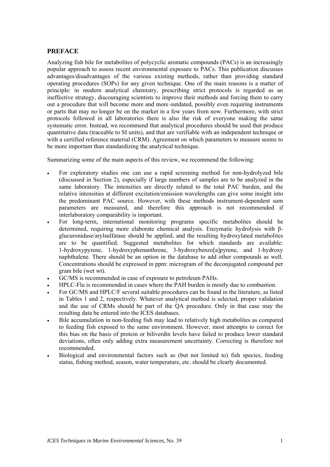## <span id="page-6-0"></span>**PREFACE**

Analyzing fish bile for metabolites of polycyclic aromatic compounds (PACs) is an increasingly popular approach to assess recent environmental exposure to PACs. This publication discusses advantages/disadvantages of the various existing methods, rather than providing standard operating procedures (SOPs) for any given technique. One of the main reasons is a matter of principle: in modern analytical chemistry, prescribing strict protocols is regarded as an ineffective strategy, discouraging scientists to improve their methods and forcing them to carry out a procedure that will become more and more outdated, possibly even requiring instruments or parts that may no longer be on the market in a few years from now. Furthermore, with strict protocols followed in all laboratories there is also the risk of everyone making the same systematic error. Instead, we recommend that analytical procedures should be used that produce quantitative data (traceable to SI units), and that are verifiable with an independent technique or with a certified reference material (CRM). Agreement on which parameters to measure seems to be more important than standardizing the analytical technique.

Summarizing some of the main aspects of this review, we recommend the following:

- For exploratory studies one can use a rapid screening method for non-hydrolyzed bile (discussed in Section 2), especially if large numbers of samples are to be analyzed in the same laboratory. The intensities are directly related to the total PAC burden, and the relative intensities at different excitation/emission wavelengths can give some insight into the predominant PAC source. However, with these methods instrument-dependent sum parameters are measured, and therefore this approach is not recommended if interlaboratory comparability is important.
- For long-term, international monitoring programs specific metabolites should be determined, requiring more elaborate chemical analysis. Enzymatic hydrolysis with βglucuronidase/arylsulfatase should be applied, and the resulting hydroxylated metabolites are to be quantified. Suggested metabolites for which standards are available: 1-hydroxypyrene, 1-hydroxyphenanthrene, 3-hydroxybenzo[a]pyrene, and 1-hydroxy naphthalene. There should be an option in the database to add other compounds as well. Concentrations should be expressed in ppm: microgram of the deconjugated compound per gram bile (wet wt).
- GC/MS is recommended in case of exposure to petroleum PAHs.
- HPLC-Flu is recommended in cases where the PAH burden is mostly due to combustion.
- For GC/MS and HPLC/F several suitable procedures can be found in the literature, as listed in Tables 1 and 2, respectively. Whatever analytical method is selected, proper validation and the use of CRMs should be part of the QA procedure. Only in that case may the resulting data be entered into the ICES databases.
- Bile accumulation in non-feeding fish may lead to relatively high metabolites as compared to feeding fish exposed to the same environment. However, most attempts to correct for this bias on the basis of protein or biliverdin levels have failed to produce lower standard deviations, often only adding extra measurement uncertainty. Correcting is therefore not recommended.
- Biological and environmental factors such as (but not limited to) fish species, feeding status, fishing method, season, water temperature, etc. should be clearly documented.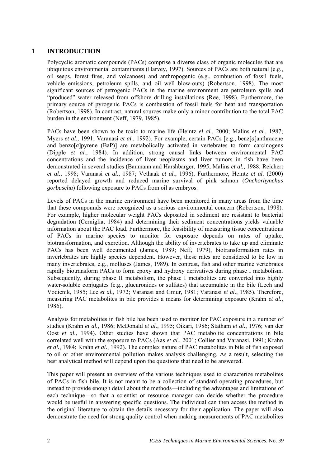## <span id="page-7-0"></span>**1 INTRODUCTION**

Polycyclic aromatic compounds (PACs) comprise a diverse class of organic molecules that are ubiquitous environmental contaminants (Harvey, 1997). Sources of PACs are both natural (e.g., oil seeps, forest fires, and volcanoes) and anthropogenic (e.g*.*, combustion of fossil fuels, vehicle emissions, petroleum spills, and oil well blow-outs) (Robertson, 1998). The most significant sources of petrogenic PACs in the marine environment are petroleum spills and "produced" water released from offshore drilling installations (Røe, 1998). Furthermore, the primary source of pyrogenic PACs is combustion of fossil fuels for heat and transportation (Robertson, 1998). In contrast, natural sources make only a minor contribution to the total PAC burden in the environment (Neff, 1979, 1985).

PACs have been shown to be toxic to marine life (Heintz *el al.*, 2000; Malins *et al.*, 1987; Myers *et al.*, 1991; Varanasi *et al.*, 1992). For example, certain PACs [e.g., benz[*a*]anthracene and benzo[*a*]pyrene (BaP)] are metabolically activated in vertebrates to form carcinogens (Dipple *et al.*, 1984). In addition, strong causal links between environmental PAC concentrations and the incidence of liver neoplasms and liver tumors in fish have been demonstrated in several studies (Baumann and Harshbarger, 1995; Malins *et al.*, 1988; Reichert *et al.*, 1998; Varanasi *et al.*, 1987; Vethaak *et al.*, 1996). Furthermore, Heintz *et al.* (2000) reported delayed growth and reduced marine survival of pink salmon (*Onchorhynchus gorbuscha*) following exposure to PACs from oil as embryos.

Levels of PACs in the marine environment have been monitored in many areas from the time that these compounds were recognized as a serious environmental concern (Robertson, 1998). For example, higher molecular weight PACs deposited in sediment are resistant to bacterial degradation (Cerniglia, 1984) and determining their sediment concentrations yields valuable information about the PAC load. Furthermore, the feasibility of measuring tissue concentrations of PACs in marine species to monitor for exposure depends on rates of uptake, biotransformation, and excretion. Although the ability of invertebrates to take up and eliminate PACs has been well documented (James, 1989; Neff, 1979), biotransformation rates in invertebrates are highly species dependent. However, these rates are considered to be low in many invertebrates, e.g., molluscs (James, 1989). In contrast, fish and other marine vertebrates rapidly biotransform PACs to form epoxy and hydroxy derivatives during phase I metabolism. Subsequently, during phase II metabolism, the phase I metabolites are converted into highly water-soluble conjugates (e.g., glucuronides or sulfates) that accumulate in the bile (Lech and Vodicnik, 1985; Lee *et al.*, 1972; Varanasi and Gmur, 1981; Varanasi *et al.*, 1985). Therefore, measuring PAC metabolites in bile provides a means for determining exposure (Krahn *et al.*, 1986).

Analysis for metabolites in fish bile has been used to monitor for PAC exposure in a number of studies (Krahn *et al.*, 1986; McDonald *et al.*, 1995; Oikari, 1986; Statham *et al.*, 1976; van der Oost *et al.*, 1994). Other studies have shown that PAC metabolite concentrations in bile correlated well with the exposure to PACs (Aas *et al.*, 2001; Collier and Varanasi, 1991; Krahn *et al.*, 1984; Krahn *et al.*, 1992). The complex nature of PAC metabolites in bile of fish exposed to oil or other environmental pollution makes analysis challenging. As a result, selecting the best analytical method will depend upon the questions that need to be answered.

This paper will present an overview of the various techniques used to characterize metabolites of PACs in fish bile. It is not meant to be a collection of standard operating procedures, but instead to provide enough detail about the methods—including the advantages and limitations of each technique—so that a scientist or resource manager can decide whether the procedure would be useful in answering specific questions. The individual can then access the method in the original literature to obtain the details necessary for their application. The paper will also demonstrate the need for strong quality control when making measurements of PAC metabolites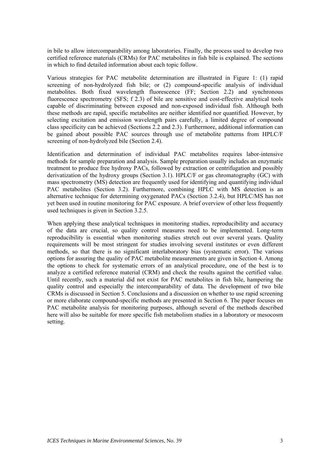in bile to allow intercomparability among laboratories. Finally, the process used to develop two certified reference materials (CRMs) for PAC metabolites in fish bile is explained. The sections in which to find detailed information about each topic follow.

Various strategies for PAC metabolite determination are illustrated in [Figure 1:](#page-9-1) (1) rapid screening of non-hydrolyzed fish bile; or (2) compound-specific analysis of individual metabolites. Both fixed wavelength fluorescence (FF; Section 2.2) and synchronous fluorescence spectrometry (SFS; f 2.3) of bile are sensitive and cost-effective analytical tools capable of discriminating between exposed and non-exposed individual fish. Although both these methods are rapid, specific metabolites are neither identified nor quantified. However, by selecting excitation and emission wavelength pairs carefully, a limited degree of compound class specificity can be achieved (Sections 2.2 and 2.3). Furthermore, additional information can be gained about possible PAC sources through use of metabolite patterns from HPLC/F screening of non-hydrolyzed bile (Section 2.4).

Identification and determination of individual PAC metabolites requires labor-intensive methods for sample preparation and analysis. Sample preparation usually includes an enzymatic treatment to produce free hydroxy PACs, followed by extraction or centrifugation and possibly derivatization of the hydroxy groups (Section 3.1). HPLC/F or gas chromatography (GC) with mass spectrometry (MS) detection are frequently used for identifying and quantifying individual PAC metabolites (Section 3.2). Furthermore, combining HPLC with MS detection is an alternative technique for determining oxygenated PACs (Section 3.2.4), but HPLC/MS has not yet been used in routine monitoring for PAC exposure. A brief overview of other less frequently used techniques is given in Section 3.2.5.

When applying these analytical techniques in monitoring studies, reproducibility and accuracy of the data are crucial, so quality control measures need to be implemented. Long-term reproducibility is essential when monitoring studies stretch out over several years. Quality requirements will be most stringent for studies involving several institutes or even different methods, so that there is no significant interlaboratory bias (systematic error). The various options for assuring the quality of PAC metabolite measurements are given in Section 4. Among the options to check for systematic errors of an analytical procedure, one of the best is to analyze a certified reference material (CRM) and check the results against the certified value. Until recently, such a material did not exist for PAC metabolites in fish bile, hampering the quality control and especially the intercomparability of data. The development of two bile CRMs is discussed in Section 5. Conclusions and a discussion on whether to use rapid screening or more elaborate compound-specific methods are presented in Section 6. The paper focuses on PAC metabolite analysis for monitoring purposes, although several of the methods described here will also be suitable for more specific fish metabolism studies in a laboratory or mesocosm setting.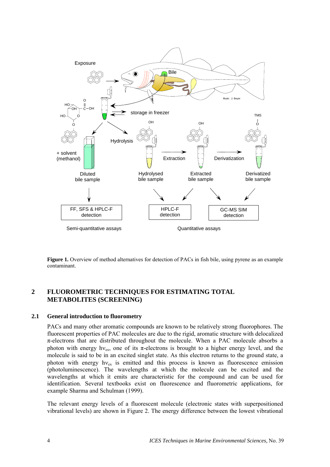<span id="page-9-1"></span><span id="page-9-0"></span>

Figure 1. Overview of method alternatives for detection of PACs in fish bile, using pyrene as an example contaminant.

## **2 FLUOROMETRIC TECHNIQUES FOR ESTIMATING TOTAL METABOLITES (SCREENING)**

#### **2.1 General introduction to fluorometry**

PACs and many other aromatic compounds are known to be relatively strong fluorophores. The fluorescent properties of PAC molecules are due to the rigid, aromatic structure with delocalized  $\pi$ -electrons that are distributed throughout the molecule. When a PAC molecule absorbs a photon with energy hv<sub>ex</sub>, one of its  $\pi$ -electrons is brought to a higher energy level, and the molecule is said to be in an excited singlet state. As this electron returns to the ground state, a photon with energy  $h v_{ex}$  is emitted and this process is known as fluorescence emission (photoluminescence). The wavelengths at which the molecule can be excited and the wavelengths at which it emits are characteristic for the compound and can be used for identification. Several textbooks exist on fluorescence and fluorometric applications, for example Sharma and Schulman (1999).

The relevant energy levels of a fluorescent molecule (electronic states with superpositioned vibrational levels) are shown in [Figure 2.](#page-10-0) The energy difference between the lowest vibrational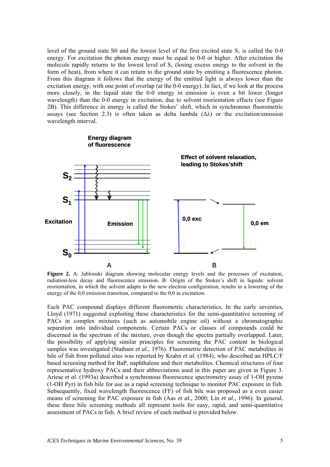level of the ground state S0 and the lowest level of the first excited state  $S_1$  is called the 0-0 energy. For excitation the photon energy must be equal to 0-0 or higher. After excitation the molecule rapidly returns to the lowest level of  $S_1$  (losing excess energy to the solvent in the form of heat), from where it can return to the ground state by emitting a fluorescence photon. From this diagram it follows that the energy of the emitted light is always lower than the excitation energy, with one point of overlap (at the 0-0 energy). In fact, if we look at the process more closely, in the liquid state the 0-0 energy in emission is even a bit lower (longer wavelength) than the 0-0 energy in excitation, due to solvent reorientation effects (see [Figure](#page-10-0)  [2B](#page-10-0)). This difference in energy is called the Stokes' shift, which in synchronous fluorometric assays (see Section 2.3) is often taken as delta lambda  $(\Delta \lambda)$  or the excitation/emission wavelength interval.



<span id="page-10-0"></span>**Figure 2.** A: Jablonski diagram showing molecular energy levels and the processes of excitation, radiation-less decay and fluorescence emission. B: Origin of the Stokes's shift in liquids: solvent reorientation, in which the solvent adapts to the new electron configuration, results in a lowering of the energy of the 0,0 emission transition, compared to the 0,0 in excitation.

Each PAC compound displays different fluorometric characteristics. In the early seventies, Lloyd (1971) suggested exploiting these characteristics for the semi-quantitative screening of PACs in complex mixtures (such as automobile engine oil) without a chromatographic separation into individual components. Certain PACs or classes of compounds could be discerned in the spectrum of the mixture, even though the spectra partially overlapped. Later, the possibility of applying similar principles for screening the PAC content in biological samples was investigated (Statham *et al.*, 1976). Fluorometric detection of PAC metabolites in bile of fish from polluted sites was reported by Krahn *et al.* (1984), who described an HPLC/F based screening method for BaP, naphthalene and their metabolites. Chemical structures of four representative hydroxy PACs and their abbreviations used in this paper are given in Figure 3. Ariese *et al.* (1993a) described a synchronous fluorescence spectrometry assay of 1-OH pyrene (1-OH Pyr) in fish bile for use as a rapid screening technique to monitor PAC exposure in fish. Subsequently, fixed wavelength fluorescence (FF) of fish bile was proposed as a even easier means of screening for PAC exposure in fish (Aas *et al.*, 2000; Lin *et al.*, 1996). In general, these three bile screening methods all represent tools for easy, rapid, and semi-quantitative assessment of PACs in fish. A brief review of each method is provided below.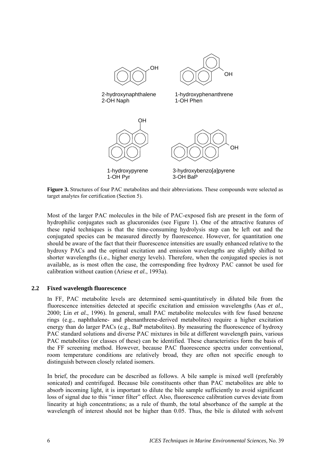<span id="page-11-0"></span>

**Figure 3.** Structures of four PAC metabolites and their abbreviations. These compounds were selected as target analytes for certification (Section 5).

Most of the larger PAC molecules in the bile of PAC-exposed fish are present in the form of hydrophilic conjugates such as glucuronides (see [Figure 1\)](#page-9-1). One of the attractive features of these rapid techniques is that the time-consuming hydrolysis step can be left out and the conjugated species can be measured directly by fluorescence. However, for quantitation one should be aware of the fact that their fluorescence intensities are usually enhanced relative to the hydroxy PACs and the optimal excitation and emission wavelengths are slightly shifted to shorter wavelengths (i.e., higher energy levels). Therefore, when the conjugated species is not available, as is most often the case, the corresponding free hydroxy PAC cannot be used for calibration without caution (Ariese *et al.*, 1993a).

#### **2.2 Fixed wavelength fluorescence**

In FF, PAC metabolite levels are determined semi-quantitatively in diluted bile from the fluorescence intensities detected at specific excitation and emission wavelengths (Aas *et al.*, 2000; Lin *et al.*, 1996). In general, small PAC metabolite molecules with few fused benzene rings (e.g., naphthalene- and phenanthrene-derived metabolites) require a higher excitation energy than do larger PACs (e.g., BaP metabolites). By measuring the fluorescence of hydroxy PAC standard solutions and diverse PAC mixtures in bile at different wavelength pairs, various PAC metabolites (or classes of these) can be identified. These characteristics form the basis of the FF screening method. However, because PAC fluorescence spectra under conventional, room temperature conditions are relatively broad, they are often not specific enough to distinguish between closely related isomers.

In brief, the procedure can be described as follows. A bile sample is mixed well (preferably sonicated) and centrifuged. Because bile constituents other than PAC metabolites are able to absorb incoming light, it is important to dilute the bile sample sufficiently to avoid significant loss of signal due to this "inner filter" effect. Also, fluorescence calibration curves deviate from linearity at high concentrations; as a rule of thumb, the total absorbance of the sample at the wavelength of interest should not be higher than 0.05. Thus, the bile is diluted with solvent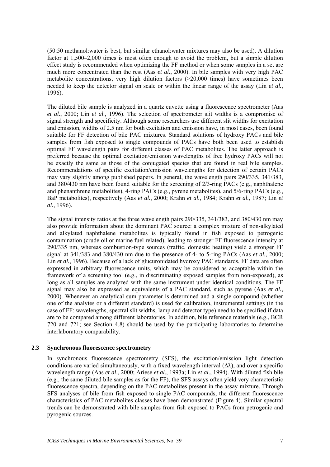<span id="page-12-0"></span>(50:50 methanol:water is best, but similar ethanol:water mixtures may also be used). A dilution factor at 1,500–2,000 times is most often enough to avoid the problem, but a simple dilution effect study is recommended when optimizing the FF method or when some samples in a set are much more concentrated than the rest (Aas *et al.*, 2000). In bile samples with very high PAC metabolite concentrations, very high dilution factors (>20,000 times) have sometimes been needed to keep the detector signal on scale or within the linear range of the assay (Lin *et al.*, 1996).

The diluted bile sample is analyzed in a quartz cuvette using a fluorescence spectrometer (Aas *et al.*, 2000; Lin *et al.*, 1996). The selection of spectrometer slit widths is a compromise of signal strength and specificity. Although some researchers use different slit widths for excitation and emission, widths of 2.5 nm for both excitation and emission have, in most cases, been found suitable for FF detection of bile PAC mixtures. Standard solutions of hydroxy PACs and bile samples from fish exposed to single compounds of PACs have both been used to establish optimal FF wavelength pairs for different classes of PAC metabolites. The latter approach is preferred because the optimal excitation/emission wavelengths of free hydroxy PACs will not be exactly the same as those of the conjugated species that are found in real bile samples. Recommendations of specific excitation/emission wavelengths for detection of certain PACs may vary slightly among published papers. In general, the wavelength pairs 290/335, 341/383, and 380/430 nm have been found suitable for the screening of 2/3-ring PACs (e.g., naphthalene and phenanthrene metabolites), 4-ring PACs (e.g., pyrene metabolites), and 5/6-ring PACs (e.g., BaP metabolites), respectively (Aas *et al.*, 2000; Krahn *et al.*, 1984; Krahn *et al.*, 1987; Lin *et al.*, 1996).

The signal intensity ratios at the three wavelength pairs 290/335, 341/383, and 380/430 nm may also provide information about the dominant PAC source: a complex mixture of non-alkylated and alkylated naphthalene metabolites is typically found in fish exposed to petrogenic contamination (crude oil or marine fuel related), leading to stronger FF fluorescence intensity at 290/335 nm, whereas combustion-type sources (traffic, domestic heating) yield a stronger FF signal at 341/383 and 380/430 nm due to the presence of 4- to 5-ring PACs (Aas *et al.*, 2000; Lin *et al.*, 1996). Because of a lack of glucuronidated hydroxy PAC standards, FF data are often expressed in arbitrary fluorescence units, which may be considered as acceptable within the framework of a screening tool (e.g., in discriminating exposed samples from non-exposed), as long as all samples are analyzed with the same instrument under identical conditions. The FF signal may also be expressed as equivalents of a PAC standard, such as pyrene (Aas *et al.*, 2000). Whenever an analytical sum parameter is determined and a single compound (whether one of the analytes or a different standard) is used for calibration, instrumental settings (in the case of FF: wavelengths, spectral slit widths, lamp and detector type) need to be specified if data are to be compared among different laboratories. In addition, bile reference materials (e.g., BCR 720 and 721; see Section 4.8) should be used by the participating laboratories to determine interlaboratory comparability.

#### **2.3 Synchronous fluorescence spectrometry**

In synchronous fluorescence spectrometry (SFS), the excitation/emission light detection conditions are varied simultaneously, with a fixed wavelength interval  $(\Delta \lambda)$ , and over a specific wavelength range (Aas *et al*., 2000; Ariese *et al*., 1993a; Lin *et al*., 1994). With diluted fish bile (e.g., the same diluted bile samples as for the FF), the SFS assays often yield very characteristic fluorescence spectra, depending on the PAC metabolites present in the assay mixture. Through SFS analyses of bile from fish exposed to single PAC compounds, the different fluorescence characteristics of PAC metabolites classes have been demonstrated (Figure 4). Similar spectral trends can be demonstrated with bile samples from fish exposed to PACs from petrogenic and pyrogenic sources.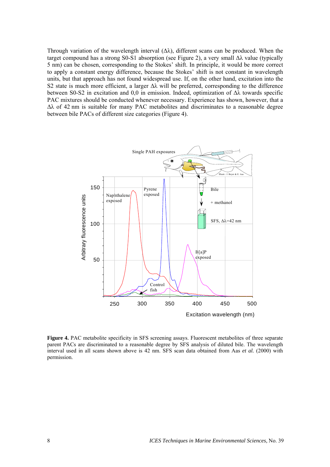Through variation of the wavelength interval  $(\Delta \lambda)$ , different scans can be produced. When the target compound has a strong S0-S1 absorption (see Figure 2), a very small  $\Delta\lambda$  value (typically 5 nm) can be chosen, corresponding to the Stokes' shift. In principle, it would be more correct to apply a constant energy difference, because the Stokes' shift is not constant in wavelength units, but that approach has not found widespread use. If, on the other hand, excitation into the S2 state is much more efficient, a larger ∆λ will be preferred, corresponding to the difference between S0-S2 in excitation and 0,0 in emission. Indeed, optimization of ∆λ towards specific PAC mixtures should be conducted whenever necessary. Experience has shown, however, that a ∆λ of 42 nm is suitable for many PAC metabolites and discriminates to a reasonable degree between bile PACs of different size categories (Figure 4).



**Figure 4.** PAC metabolite specificity in SFS screening assays. Fluorescent metabolites of three separate parent PACs are discriminated to a reasonable degree by SFS analysis of diluted bile. The wavelength interval used in all scans shown above is 42 nm. SFS scan data obtained from Aas *et al.* (2000) with permission.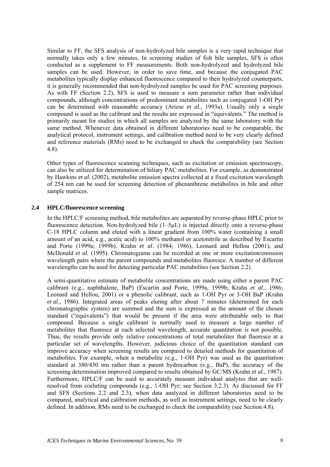<span id="page-14-0"></span>Similar to FF, the SFS analysis of non-hydrolyzed bile samples is a very rapid technique that normally takes only a few minutes. In screening studies of fish bile samples, SFS is often conducted as a supplement to FF measurements. Both non-hydrolyzed and hydrolyzed bile samples can be used. However, in order to save time, and because the conjugated PAC metabolites typically display enhanced fluorescence compared to their hydrolyzed counterparts, it is generally recommended that non-hydrolyzed samples be used for PAC screening purposes. As with FF (Section 2.2), SFS is used to measure a sum parameter rather than individual compounds, although concentrations of predominant metabolites such as conjugated 1-OH Pyr can be determined with reasonable accuracy (Ariese *et al.*, 1993a). Usually only a single compound is used as the calibrant and the results are expressed in "equivalents." The method is primarily meant for studies in which all samples are analyzed by the same laboratory with the same method. Whenever data obtained in different laboratories need to be comparable, the analytical protocol, instrument settings, and calibration method need to be very clearly defined and reference materials (RMs) need to be exchanged to check the comparability (see Section 4.8).

Other types of fluorescence scanning techniques, such as excitation or emission spectroscopy, can also be utilized for determination of biliary PAC metabolites. For example, as demonstrated by Hawkins *et al.* (2002), metabolite emission spectra collected at a fixed excitation wavelength of 254 nm can be used for screening detection of phenanthrene metabolites in bile and other sample matrices.

#### **2.4 HPLC/fluorescence screening**

In the HPLC/F screening method, bile metabolites are separated by reverse-phase HPLC prior to fluorescence detection. Non-hydrolyzed bile (1–5µL) is injected directly onto a reverse-phase C-18 HPLC column and eluted with a linear gradient from 100% water (containing a small amount of an acid, e.g., acetic acid) to 100% methanol or acetonitrile as described by Escartin and Porte (1999a; 1999b), Krahn *et al.* (1984; 1986), Leonard and Hellou (2001), and McDonald *et al.* (1995). Chromatograms can be recorded at one or more excitation/emission wavelength pairs where the parent compounds and metabolites fluoresce. A number of different wavelengths can be used for detecting particular PAC metabolites (see Section 2.2).

A semi-quantitative estimate of metabolite concentrations are made using either a parent PAC calibrant (e.g., naphthalene, BaP) (Escartin and Porte, 1999a, 1999b; Krahn *et al.*, 1986; Leonard and Hellou, 2001) or a phenolic calibrant, such as 1-OH Pyr or 3-OH BaP (Krahn *et al.*, 1986). Integrated areas of peaks eluting after about 7 minutes (determined for each chromatographic system) are summed and the sum is expressed as the amount of the chosen standard ("equivalents") that would be present if the area were attributable only to that compound. Because a single calibrant is normally used to measure a large number of metabolites that fluoresce at each selected wavelength, accurate quantitation is not possible. Thus, the results provide only relative concentrations of total metabolites that fluoresce at a particular set of wavelengths. However, judicious choice of the quantitation standard can improve accuracy when screening results are compared to detailed methods for quantitation of metabolites. For example, when a metabolite (e.g., 1-OH Pyr) was used as the quantitation standard at 380/430 nm rather than a parent hydrocarbon (e.g., BaP), the accuracy of the screening determination improved compared to results obtained by GC/MS (Krahn *et al.*, 1987). Furthermore, HPLC/F can be used to accurately measure individual analytes that are wellresolved from coeluting compounds (e.g., 1-OH Pyr; see Section 3.2.3). As discussed for FF and SFS (Sections 2.2 and 2.3), when data analyzed in different laboratories need to be compared, analytical and calibration methods, as well as instrument settings, need to be clearly defined. In addition, RMs need to be exchanged to check the comparability (see Section 4.8).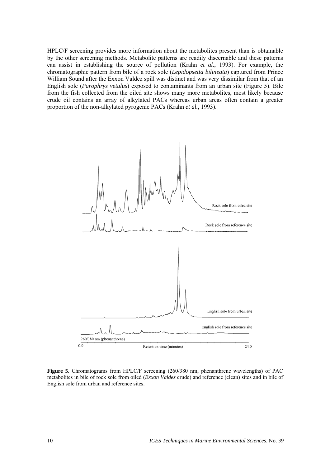HPLC/F screening provides more information about the metabolites present than is obtainable by the other screening methods. Metabolite patterns are readily discernable and these patterns can assist in establishing the source of pollution (Krahn *et al.*, 1993). For example, the chromatographic pattern from bile of a rock sole (*Lepidopsetta bilineata*) captured from Prince William Sound after the Exxon Valdez spill was distinct and was very dissimilar from that of an English sole (*Parophrys vetulus*) exposed to contaminants from an urban site (Figure 5). Bile from the fish collected from the oiled site shows many more metabolites, most likely because crude oil contains an array of alkylated PACs whereas urban areas often contain a greater proportion of the non-alkylated pyrogenic PACs (Krahn *et al.*, 1993).



**Figure 5.** Chromatograms from HPLC/F screening (260/380 nm; phenanthrene wavelengths) of PAC metabolites in bile of rock sole from oiled (*Exxon Valdez* crude) and reference (clean) sites and in bile of English sole from urban and reference sites.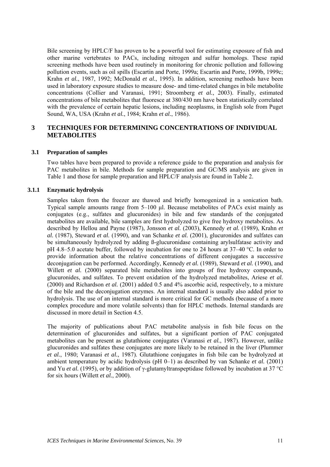<span id="page-16-0"></span>Bile screening by HPLC/F has proven to be a powerful tool for estimating exposure of fish and other marine vertebrates to PACs, including nitrogen and sulfur homologs. These rapid screening methods have been used routinely in monitoring for chronic pollution and following pollution events, such as oil spills (Escartin and Porte, 1999a; Escartin and Porte, 1999b, 1999c; Krahn *et al.*, 1987, 1992; McDonald *et al.*, 1995). In addition, screening methods have been used in laboratory exposure studies to measure dose- and time-related changes in bile metabolite concentrations (Collier and Varanasi, 1991; Stroomberg *et al.*, 2003). Finally, estimated concentrations of bile metabolites that fluoresce at 380/430 nm have been statistically correlated with the prevalence of certain hepatic lesions, including neoplasms, in English sole from Puget Sound, WA, USA (Krahn *et al.*, 1984; Krahn *et al.*, 1986).

## **3 TECHNIQUES FOR DETERMINING CONCENTRATIONS OF INDIVIDUAL METABOLITES**

#### **3.1 Preparation of samples**

Two tables have been prepared to provide a reference guide to the preparation and analysis for PAC metabolites in bile. Methods for sample preparation and GC/MS analysis are given in [Table 1](#page-17-0) and those for sample preparation and HPLC/F analysis are found in [Table 2.](#page-18-0) 

#### **3.1.1 Enzymatic hydrolysis**

Samples taken from the freezer are thawed and briefly homogenized in a sonication bath. Typical sample amounts range from 5–100 µl. Because metabolites of PACs exist mainly as conjugates (e.g., sulfates and glucuronides) in bile and few standards of the conjugated metabolites are available, bile samples are first hydrolyzed to give free hydroxy metabolites. As described by Hellou and Payne (1987), Jonsson *et al.* (2003), Kennedy *et al.* (1989), Krahn *et al.* (1987), Steward *et al.* (1990), and van Schanke *et al.* (2001), glucuronides and sulfates can be simultaneously hydrolyzed by adding ß-glucuronidase containing arylsulfatase activity and pH 4.8–5.0 acetate buffer, followed by incubation for one to 24 hours at 37–40 °C. In order to provide information about the relative concentrations of different conjugates a successive deconjugation can be performed. Accordingly, Kennedy *et al.* (1989), Steward *et al.* (1990), and Willett *et al.* (2000) separated bile metabolites into groups of free hydroxy compounds, glucuronides, and sulfates. To prevent oxidation of the hydrolyzed metabolites, Ariese *et al.* (2000) and Richardson *et al.* (2001) added 0.5 and 4% ascorbic acid, respectively, to a mixture of the bile and the deconjugation enzymes. An internal standard is usually also added prior to hydrolysis. The use of an internal standard is more critical for GC methods (because of a more complex procedure and more volatile solvents) than for HPLC methods. Internal standards are discussed in more detail in Section 4.5.

The majority of publications about PAC metabolite analysis in fish bile focus on the determination of glucuronides and sulfates, but a significant portion of PAC conjugated metabolites can be present as glutathione conjugates (Varanasi *et al.*, 1987). However, unlike glucuronides and sulfates these conjugates are more likely to be retained in the liver (Plummer *et al.*, 1980; Varanasi *et al.*, 1987). Glutathione conjugates in fish bile can be hydrolyzed at ambient temperature by acidic hydrolysis (pH 0–1) as described by van Schanke *et al.* (2001) and Yu *et al.* (1995), or by addition of y-glutamyltranspeptidase followed by incubation at 37 °C for six hours (Willett *et al.*, 2000).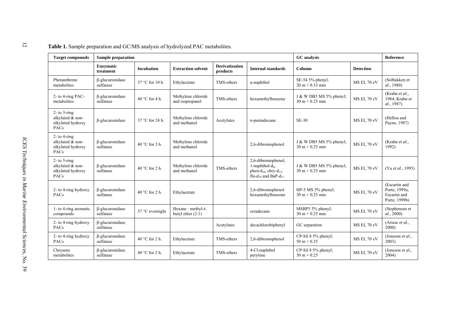<span id="page-17-0"></span>

| <b>Target compounds</b>                                                   | <b>Sample preparation</b>           |                   | <b>GC</b> analysis                          |                                   | Reference                                                                                                                     |                                                                  |                  |                                                                 |
|---------------------------------------------------------------------------|-------------------------------------|-------------------|---------------------------------------------|-----------------------------------|-------------------------------------------------------------------------------------------------------------------------------|------------------------------------------------------------------|------------------|-----------------------------------------------------------------|
|                                                                           | <b>Enzymatic</b><br>treatment       | <b>Incubation</b> | <b>Extraction solvent</b>                   | <b>Derivatization</b><br>products | <b>Internal standards</b>                                                                                                     | Column                                                           | <b>Detection</b> |                                                                 |
| Phenanthrene<br>metabolites                                               | β-glucuronidase<br>sulfatase        | 37 °C for 10 h.   | Ethylacetate                                | TMS-ethers                        | $\alpha$ -naphthol                                                                                                            | SE-54 5% phenyl;<br>$20 \text{ m} \times 0.33 \text{ mm}$        | MS EI, 70 eV     | (Solbakken et<br>al., 1980)                                     |
| 2- to 4-ring PAC-<br>metabolites                                          | $\beta$ -glucuronidase<br>sulfatase | 40 °C for 4 h.    | Methylene chloride<br>and isopropanol       | TMS-ethers                        | hexamethylbenzene                                                                                                             | J & W DB5 MS 5% phenyl;<br>$30 \text{ m} \times 0.25 \text{ mm}$ | MS EI, 70 eV     | (Krahn et al.,<br>1984; Krahn et<br>al., 1987)                  |
| $2-$ to $3-$ ring<br>alkylated & non-<br>alkylated hydroxy<br><b>PACs</b> | β-glucuronidase                     | 37 °C for 24 h.   | Methylene chloride<br>and methanol          | Acetylates                        | $n$ -pentadecane                                                                                                              | <b>SE-30</b>                                                     | MS EI, 70 eV     | (Hellou and<br>Payne, 1987)                                     |
| $2-$ to 4-ring<br>alkylated & non-<br>alkylated hydroxy<br>PACs           | β-glucuronidase<br>sulfatase        | 40 °C for 3 h.    | Methylene chloride<br>and methanol          |                                   | 2,6-dibromophenol                                                                                                             | J & W DB5 MS 5% phenyl;<br>$30 \text{ m} \times 0.25 \text{ mm}$ | MS EI, 70 eV     | (Krahn et al.,<br>1992)                                         |
| $2-$ to $5$ -ring<br>alkylated & non-<br>alkylated hydroxy<br>PACs        | $\beta$ -glucuronidase<br>sulfatase | 40 °C for 2 h.    | Methylene chloride<br>and methanol          | TMS-ethers                        | 2,6-dibromophenol,<br>1-naphthol- $d_8$ ,<br>phen- $d_{10}$ , chry- $d_{12}$ ,<br>flu-d <sub>10</sub> and BaP-d <sub>12</sub> | J & W DB5 MS 5% phenyl;<br>$30 \text{ m} \times 0.25 \text{ mm}$ | MS EI, 70 eV     | (Yu et al., 1995)                                               |
| 2- to 4-ring hydroxy<br>PACs                                              | $\beta$ -glucuronidase<br>sulfatase | 40 °C for 2 h.    | Ethylacetate                                |                                   | 2,6-dibromophenol<br>hexamethylbenzene                                                                                        | HP-5 MS 5% phenyl;<br>$30 \text{ m} \times 0.25 \text{ mm}$      | MS EI, 70 eV     | (Escartin and<br>Porte, 1999a;<br>Escartin and<br>Porte, 1999b) |
| 1- to 4-ring aromatic<br>compounds                                        | $\beta$ -glucuronidase<br>sulfatase | 37 °C overnight   | Hexane: $methyl-t$ -<br>butyl ether $(2:1)$ |                                   | octadecane                                                                                                                    | MSBP5 5% phenyl;<br>$30 \text{ m} \times 0.25 \text{ mm}$        | MS EI, 70 eV     | (Stephensen et<br>al., 2000)                                    |
| 2- to 4-ring hydroxy<br>PACs                                              | $\beta$ -glucuronidase<br>sulfatase |                   |                                             | Acetylates                        | decachlorobiphenyl                                                                                                            | GC separation                                                    | MS EI, 70 eV     | (Ariese et al.,<br>2000)                                        |
| 2- to 4-ring hydroxy<br>PACs                                              | $\beta$ -glucuronidase<br>sulfatase | 40 °C for 2 h.    | Ethylacetate                                | TMS-ethers                        | 2,6-dibromophenol                                                                                                             | CP-Sil 8 5% phenyl;<br>$50 \text{ m} \times 0.25$                | MS EI, 70 eV     | (Jonsson et al.,<br>2003)                                       |
| Chrysene<br>metabolites                                                   | $\beta$ -glucuronidase<br>sulfatase | 40 °C for 2 h.    | Ethylacetate                                | TMS-ethers                        | 4-Cl-naphthol<br>perylene                                                                                                     | CP-Sil 8 5% phenyl;<br>50 m $\times$ 0.25                        | MS EI, 70 eV     | (Jonsson et al.,<br>2004)                                       |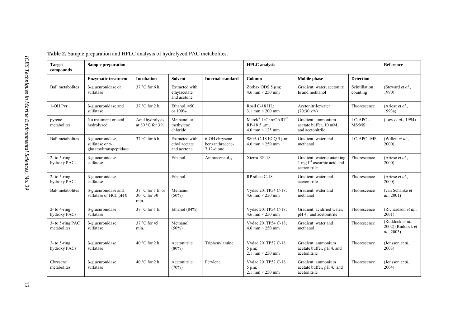<span id="page-18-0"></span>

| <b>Target</b><br>compounds      | <b>Sample preparation</b>                                     |                                               |                                                |                                                   | <b>HPLC</b> analysis                                                                       | <b>Reference</b>                                                              |                           |                                                     |
|---------------------------------|---------------------------------------------------------------|-----------------------------------------------|------------------------------------------------|---------------------------------------------------|--------------------------------------------------------------------------------------------|-------------------------------------------------------------------------------|---------------------------|-----------------------------------------------------|
|                                 | <b>Enzymatic treatment</b>                                    | <b>Incubation</b>                             | <b>Solvent</b>                                 | <b>Internal standard</b>                          | Column                                                                                     | <b>Mobile</b> phase                                                           | <b>Detection</b>          |                                                     |
| BaP metabolites                 | β-glucuronidase or<br>sulfatase                               | $37^{\circ}$ C for 6 h.                       | Extracted with<br>ethylacetate<br>and acetone  |                                                   | Zorbax ODS 5 µm;<br>4.6 mm $\times$ 250 mm                                                 | Gradient: water, acetonitri<br>le and methanol                                | Scintillation<br>counting | (Steward et al.,<br>1990)                           |
| 1-OH Pyr                        | β-glucuronidase and<br>sulfatase                              | 37 °C for 2 h.                                | Ethanol, $\approx 50$<br>or 100%               |                                                   | Rosil C-18 HL;<br>$3.1 \text{ mm} \times 200 \text{ mm}$                                   | Acetonitrile: water<br>$(70:30 \text{ v/v})$                                  | Fluorescence              | (Ariese et al.,<br>1993a)                           |
| pyrene<br>metabolites           | No treatment or acid<br>hydrolyzed                            | Acid hydrolysis<br>at 80 $\degree$ C for 3 h. | Methanol or<br>methylene<br>chloride           |                                                   | Marck <sup>®</sup> LiChroCART <sup>®</sup><br>$RP-185 \mu m$ ;<br>$4.0$ mm $\times$ 125 mm | Gradient: ammonium<br>acetate buffer, 10 mM,<br>and acetonitrile              | LC-APCI-<br>MS/MS         | (Law et al., 1994)                                  |
| BaP metabolites                 | β-glucuronidase,<br>sulfatase or γ-<br>glutamyltranspeptidase | 37 °C for 6 h.                                | Extracted with<br>ethyl acetate<br>and acetone | 6-OH chrysene<br>benzanthracene-<br>$7,12$ -dione | S80A C-18 ECQ 5 μm;<br>4.6 mm $\times$ 250 mm                                              | Gradient: water and<br>methanol                                               | <b>LC-APCI-MS</b>         | (Willett et al.,<br>2000)                           |
| $2-$ to 5-ring<br>hydroxy PACs  | $\beta$ -glucuronidase<br>sulfatase                           |                                               | Ethanol                                        | Anthracene-d <sub>10</sub>                        | Xterra RP-18                                                                               | Gradient: water containing<br>1 mg $I^{-1}$ ascorbic acid and<br>acetonitrile | Fluorescence              | (Ariese et al.,<br>2000)                            |
| $2-$ to 5-ring<br>hydroxy PACs  | $\beta$ -glucuronidase<br>sulfatase                           |                                               | Ethanol                                        |                                                   | RP silica C-18                                                                             | Gradient: water and<br>acetonitrile                                           | Fluorescence              | (Ariese et al.,<br>2000)                            |
| BaP metabolites                 | <b>ß-glucuronidase</b> and<br>sulfatase or HCl, pH 0          | 37 °C for 1 h. or<br>30 °C for 30<br>min.     | Methanol<br>$(50\%)$                           |                                                   | Vydac 201TP54 C-18;<br>4.6 mm $\times$ 250 mm                                              | Gradient: water and<br>methanol                                               | Fluorescence              | (van Schanke et<br>al., 2001)                       |
| $2-$ to 4-ring<br>hydroxy PACs  | $\beta$ -glucuronidase<br>sulfatase                           | 37 °C for 1 h.                                | Ethanol (84%)                                  |                                                   | Vydac 201TP54 C-18;<br>4.6 mm $\times$ 250 mm                                              | Gradient: acidified water.<br>pH 4, and acetonitrile                          | Fluorescence              | (Richardson et al.,<br>2001)                        |
| 3- to 5-ring PAC<br>metabolites | β-glucuronidase<br>sulfatase                                  | 37 °C for 45<br>min.                          | Methanol<br>$(50\%)$                           |                                                   | Vydac 201TP54 C-18;<br>4.6 mm $\times$ 250 mm                                              | Gradient: water and<br>methanol                                               | Fluorescence              | (Ruddock et al.,<br>2002) (Ruddock et<br>al., 2003) |
| $2-$ to 5-ring<br>hydroxy PACs  | $\beta$ -glucuronidase<br>sulfatase                           | 40 $\degree$ C for 2 h.                       | Acetonitrile<br>$(80\%)$                       | Triphenylamine                                    | Vydac 201TP52 C-18<br>$5 \mu m$ ;<br>2.1 mm $\times$ 250 mm                                | Gradient: ammonium<br>acetate buffer, pH 4, and<br>acetonitrile               | Fluorescence              | (Jonsson et al.,<br>2003)                           |
| Chrysene<br>metabolites         | $\beta$ -glucuronidase<br>sulfatase                           | 40 $\degree$ C for 2 h.                       | Acetonitrile<br>(70%)                          | Perylene                                          | Vydac 201TP52 C-18<br>$5 \mu m$ ;<br>2.1 mm $\times$ 250 mm                                | Gradient: ammonium<br>acetate buffer, pH 4, and<br>acetonitrile               | Fluorescence              | (Jonsson <i>et al.</i> ,<br>2004)                   |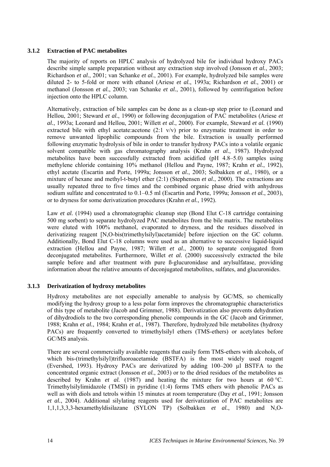#### <span id="page-19-0"></span>**3.1.2 Extraction of PAC metabolites**

The majority of reports on HPLC analysis of hydrolyzed bile for individual hydroxy PACs describe simple sample preparation without any extraction step involved (Jonsson *et al.*, 2003; Richardson *et al.*, 2001; van Schanke *et al.*, 2001). For example, hydrolyzed bile samples were diluted 2- to 5-fold or more with ethanol (Ariese *et al.*, 1993a; Richardson *et al.*, 2001) or methanol (Jonsson *et al.*, 2003; van Schanke *et al.*, 2001), followed by centrifugation before injection onto the HPLC column.

Alternatively, extraction of bile samples can be done as a clean-up step prior to (Leonard and Hellou, 2001; Steward *et al.*, 1990) or following deconjugation of PAC metabolites (Ariese *et al.*, 1993a; Leonard and Hellou, 2001; Willett *et al.*, 2000). For example, Steward *et al.* (1990) extracted bile with ethyl acetate:acetone  $(2:1 \text{ v/v})$  prior to enzymatic treatment in order to remove unwanted lipophilic compounds from the bile. Extraction is usually performed following enzymatic hydrolysis of bile in order to transfer hydroxy PACs into a volatile organic solvent compatible with gas chromatography analysis (Krahn *et al.*, 1987). Hydrolyzed metabolites have been successfully extracted from acidified (pH 4.8–5.0) samples using methylene chloride containing 10% methanol (Hellou and Payne, 1987; Krahn *et al.*, 1992), ethyl acetate (Escartin and Porte, 1999a; Jonsson *et al.*, 2003; Solbakken *et al.*, 1980), or a mixture of hexane and methyl-t-butyl ether (2:1) (Stephensen *et al.*, 2000). The extractions are usually repeated three to five times and the combined organic phase dried with anhydrous sodium sulfate and concentrated to 0.1–0.5 ml (Escartin and Porte, 1999a; Jonsson *et al.*, 2003), or to dryness for some derivatization procedures (Krahn *et al.*, 1992).

Law *et al.* (1994) used a chromatographic cleanup step (Bond Elut C-18 cartridge containing 500 mg sorbent) to separate hydrolyzed PAC metabolites from the bile matrix. The metabolites were eluted with 100% methanol, evaporated to dryness, and the residues dissolved in derivatizing reagent [N,O-bis(trimethylsilyl)acetamide] before injection on the GC column. Additionally, Bond Elut C-18 columns were used as an alternative to successive liquid-liquid extraction (Hellou and Payne, 1987; Willett *et al.*, 2000) to separate conjugated from deconjugated metabolites. Furthermore, Willet *et al.* (2000) successively extracted the bile sample before and after treatment with pure ß-glucuronidase and arylsulfatase, providing information about the relative amounts of deconjugated metabolites, sulfates, and glucuronides.

#### **3.1.3 Derivatization of hydroxy metabolites**

Hydroxy metabolites are not especially amenable to analysis by GC/MS, so chemically modifying the hydroxy group to a less polar form improves the chromatographic characteristics of this type of metabolite (Jacob and Grimmer, 1988). Derivatization also prevents dehydration of dihydrodiols to the two corresponding phenolic compounds in the GC (Jacob and Grimmer, 1988; Krahn *et al.*, 1984; Krahn *et al.*, 1987). Therefore, hydrolyzed bile metabolites (hydroxy PACs) are frequently converted to trimethylsilyl ethers (TMS-ethers) or acetylates before GC/MS analysis.

There are several commercially available reagents that easily form TMS-ethers with alcohols, of which bis-(trimethylsilyl)trifluoroacetamide (BSTFA) is the most widely used reagent (Evershed, 1993). Hydroxy PACs are derivatized by adding 100–200 µl BSTFA to the concentrated organic extract (Jonsson *et al.*, 2003) or to the dried residues of the metabolites as described by Krahn *et al.* (1987) and heating the mixture for two hours at 60 °C. Trimethylsilylimidazole (TMSI) in pyridine (1:4) forms TMS ethers with phenolic PACs as well as with diols and tetrols within 15 minutes at room temperature (Day *et al.*, 1991; Jonsson *et al.*, 2004). Additional silylating reagents used for derivatization of PAC metabolites are 1,1,1,3,3,3-hexamethyldisilazane (SYLON TP) (Solbakken *et al.*, 1980) and N,O-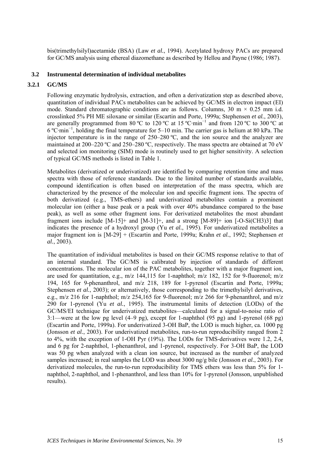<span id="page-20-0"></span>bis(trimethylsilyl)acetamide (BSA) (Law *et al.*, 1994). Acetylated hydroxy PACs are prepared for GC/MS analysis using ethereal diazomethane as described by Hellou and Payne (1986; 1987).

#### **3.2 Instrumental determination of individual metabolites**

#### **3.2.1 GC/MS**

Following enzymatic hydrolysis, extraction, and often a derivatization step as described above, quantitation of individual PACs metabolites can be achieved by GC/MS in electron impact (EI) mode. Standard chromatographic conditions are as follows. Columns,  $30 \text{ m} \times 0.25 \text{ mm}$  i.d. crosslinked 5% PH ME siloxane or similar (Escartin and Porte, 1999a; Stephensen *et al.*, 2003), are generally programmed from 80 °C to 120 °C at 15 °C·min<sup>-1</sup> and from 120 °C to 300 °C at 6 ºC·min<sup>−</sup><sup>1</sup> , holding the final temperature for 5–10 min. The carrier gas is helium at 80 kPa. The injector temperature is in the range of 250–280 ºC, and the ion source and the analyzer are maintained at 200–220 °C and 250–280 °C, respectively. The mass spectra are obtained at 70 eV and selected ion monitoring (SIM) mode is routinely used to get higher sensitivity. A selection of typical GC/MS methods is listed in [Table 1.](#page-17-0)

Metabolites (derivatized or underivatized) are identified by comparing retention time and mass spectra with those of reference standards. Due to the limited number of standards available, compound identification is often based on interpretation of the mass spectra, which are characterized by the presence of the molecular ion and specific fragment ions. The spectra of both derivatized (e.g., TMS-ethers) and underivatized metabolites contain a prominent molecular ion (either a base peak or a peak with over 40% abundance compared to the base peak), as well as some other fragment ions. For derivatized metabolites the most abundant fragment ions include  $[M-15]+$  and  $[M-31]+$ , and a strong  $[M-89]+$  ion  $[-O-Si(CH3)3]$  that indicates the presence of a hydroxyl group (Yu *et al.*, 1995). For underivatized metabolites a major fragment ion is [M-29] + (Escartin and Porte, 1999a; Krahn *et al.*, 1992; Stephensen *et al.*, 2003).

The quantitation of individual metabolites is based on their GC/MS response relative to that of an internal standard. The GC/MS is calibrated by injection of standards of different concentrations. The molecular ion of the PAC metabolites, together with a major fragment ion, are used for quantitation, e.g., m/z 144,115 for 1-naphthol; m/z 182, 152 for 9-fluorenol; m/z 194, 165 for 9-phenanthrol, and m/z 218, 189 for 1-pyrenol (Escartin and Porte, 1999a; Stephensen *et al.*, 2003); or alternatively, those corresponding to the trimethylsilyl derivatives, e.g., m/z 216 for 1-naphthol; m/z 254,165 for 9-fluorenol; m/z 266 for 9-phenanthrol, and m/z 290 for 1-pyrenol (Yu *et al.*, 1995). The instrumental limits of detection (LODs) of the GC/MS/EI technique for underivatized metabolites—calculated for a signal-to-noise ratio of 3:1—were at the low pg level (4–9 pg), except for 1-naphthol (95 pg) and 1-pyrenol (68 pg) (Escartin and Porte, 1999a). For underivatized 3-OH BaP, the LOD is much higher, ca. 1000 pg (Jonsson *et al.*, 2003). For underivatized metabolites, run-to-run reproducibility ranged from 2 to 4%, with the exception of 1-OH Pyr (19%). The LODs for TMS-derivatives were 1.2, 2.4, and 6 pg for 2-naphthol, 1-phenanthrol, and 1-pyrenol, respectively. For 3-OH BaP, the LOD was 50 pg when analyzed with a clean ion source, but increased as the number of analyzed samples increased; in real samples the LOD was about 3000 ng/g bile (Jonsson *et al.*, 2003). For derivatized molecules, the run-to-run reproducibility for TMS ethers was less than 5% for 1 naphthol, 2-naphthol, and 1-phenanthrol, and less than 10% for 1-pyrenol (Jonsson, unpublished results).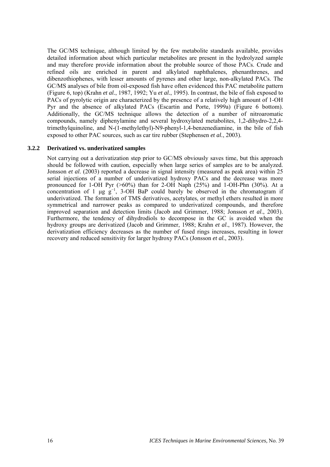<span id="page-21-0"></span>The GC/MS technique, although limited by the few metabolite standards available, provides detailed information about which particular metabolites are present in the hydrolyzed sample and may therefore provide information about the probable source of those PACs. Crude and refined oils are enriched in parent and alkylated naphthalenes, phenanthrenes, and dibenzothiophenes, with lesser amounts of pyrenes and other large, non-alkylated PACs. The GC/MS analyses of bile from oil-exposed fish have often evidenced this PAC metabolite pattern (Figure 6, top) (Krahn *et al.*, 1987, 1992; Yu *et al.*, 1995). In contrast, the bile of fish exposed to PACs of pyrolytic origin are characterized by the presence of a relatively high amount of 1-OH Pyr and the absence of alkylated PACs (Escartin and Porte, 1999a) (Figure 6 bottom). Additionally, the GC/MS technique allows the detection of a number of nitroaromatic compounds, namely diphenylamine and several hydroxylated metabolites, 1,2-dihydro-2,2,4 trimethylquinoline, and N-(1-methylethyl)-N9-phenyl-1,4-benzenediamine, in the bile of fish exposed to other PAC sources, such as car tire rubber (Stephensen *et al.*, 2003).

#### **3.2.2 Derivatized vs. underivatized samples**

Not carrying out a derivatization step prior to GC/MS obviously saves time, but this approach should be followed with caution, especially when large series of samples are to be analyzed. Jonsson *et al*. (2003) reported a decrease in signal intensity (measured as peak area) within 25 serial injections of a number of underivatized hydroxy PACs and the decrease was more pronounced for 1-OH Pyr (>60%) than for 2-OH Naph (25%) and 1-OH-Phn (30%). At a concentration of 1 µg  $g^{-1}$ , 3-OH BaP could barely be observed in the chromatogram if underivatized. The formation of TMS derivatives, acetylates, or methyl ethers resulted in more symmetrical and narrower peaks as compared to underivatized compounds, and therefore improved separation and detection limits (Jacob and Grimmer, 1988; Jonsson *et al*., 2003). Furthermore, the tendency of dihydrodiols to decompose in the GC is avoided when the hydroxy groups are derivatized (Jacob and Grimmer, 1988; Krahn *et al*., 1987). However, the derivatization efficiency decreases as the number of fused rings increases, resulting in lower recovery and reduced sensitivity for larger hydroxy PACs (Jonsson *et al.*, 2003).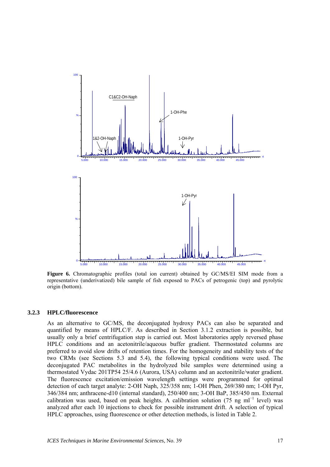<span id="page-22-0"></span>

**Figure 6.** Chromatographic profiles (total ion current) obtained by GC/MS/EI SIM mode from a representative (underivatized) bile sample of fish exposed to PACs of petrogenic (top) and pyrolytic origin (bottom).

#### **3.2.3 HPLC/fluorescence**

As an alternative to GC/MS, the deconjugated hydroxy PACs can also be separated and quantified by means of HPLC/F. As described in Section 3.1.2 extraction is possible, but usually only a brief centrifugation step is carried out. Most laboratories apply reversed phase HPLC conditions and an acetonitrile/aqueous buffer gradient. Thermostated columns are preferred to avoid slow drifts of retention times. For the homogeneity and stability tests of the two CRMs (see Sections 5.3 and 5.4), the following typical conditions were used. The deconjugated PAC metabolites in the hydrolyzed bile samples were determined using a thermostated Vydac 201TP54 25/4.6 (Aurora, USA) column and an acetonitrile/water gradient. The fluorescence excitation/emission wavelength settings were programmed for optimal detection of each target analyte: 2-OH Naph, 325/358 nm; 1-OH Phen, 269/380 nm; 1-OH Pyr, 346/384 nm; anthracene-d10 (internal standard), 250/400 nm; 3-OH BaP, 385/450 nm. External calibration was used, based on peak heights. A calibration solution (75 ng ml<sup>-1</sup> level) was analyzed after each 10 injections to check for possible instrument drift. A selection of typical HPLC approaches, using fluorescence or other detection methods, is listed in [Table 2.](#page-18-0)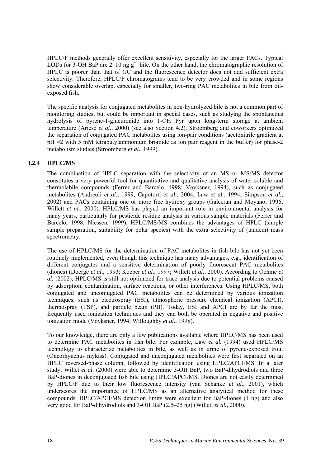<span id="page-23-0"></span>HPLC/F methods generally offer excellent sensitivity, especially for the larger PACs. Typical LODs for 3-OH BaP are  $2-10$  ng g<sup>-1</sup> bile. On the other hand, the chromatographic resolution of HPLC is poorer than that of GC and the fluorescence detector does not add sufficient extra selectivity. Therefore, HPLC/F chromatograms tend to be very crowded and in some regions show considerable overlap, especially for smaller, two-ring PAC metabolites in bile from oilexposed fish.

The specific analysis for conjugated metabolites in non-hydrolyzed bile is not a common part of monitoring studies, but could be important in special cases, such as studying the spontaneous hydrolysis of pyrene-1-glucuronide into 1-OH Pyr upon long-term storage at ambient temperature (Ariese *et al.*, 2000) (see also Section 4.2). Stroomberg and coworkers optimized the separation of conjugated PAC metabolites using ion-pair conditions (acetonitrile gradient at pH =2 with 5 mM tetrabutylammonium bromide as ion pair reagent in the buffer) for phase-2 metabolism studies (Stroomberg *et al.*, 1999).

### **3.2.4 HPLC/MS**

The combination of HPLC separation with the selectivity of an MS or MS/MS detector constitutes a very powerful tool for quantitative and qualitative analysis of water-soluble and thermolabile compounds (Ferrer and Barcelo, 1998; Voyksner, 1994), such as conjugated metabolites (Andreoli *et al.*, 1999; Capotorti *et al.*, 2004; Law *et al.*, 1994; Simpson *et al.*, 2002) and PACs containing one or more free hydroxy groups (Galceran and Moyano, 1996; Willett *et al.*, 2000). HPLC/MS has played an important role in environmental analysis for many years, particularly for pesticide residue analysis in various sample materials (Ferrer and Barcelo, 1998; Niessen, 1999). HPLC/MS/MS combines the advantages of HPLC (simple sample preparation, suitability for polar species) with the extra selectivity of (tandem) mass spectrometry.

The use of HPLC/MS for the determination of PAC metabolites in fish bile has not yet been routinely implemented, even though this technique has many advantages, e.g., identification of different conjugates and a sensitive determination of poorly fluorescent PAC metabolites (diones) (Doerge *et al.*, 1993; Koeber *et al.*, 1997; Willett *et al.*, 2000). According to Oehme *et al.* (2002), HPLC/MS is still not optimized for trace analysis due to potential problems caused by adsorption, contamination, surface reactions, or other interferences. Using HPLC/MS, both conjugated and unconjugated PAC metabolites can be determined by various ionization techniques, such as electrospray (ESI), atmospheric pressure chemical ionization (APCI), thermospray (TSP), and particle beam (PB). Today, ESI and APCI are by far the most frequently used ionization techniques and they can both be operated in negative and positive ionization mode (Voyksner, 1994; Willoughby *et al.*, 1998).

To our knowledge, there are only a few publications available where HPLC/MS has been used to determine PAC metabolites in fish bile. For example, Law *et al.* (1994) used HPLC/MS technology to characterize metabolites in bile, as well as in urine of pyrene-exposed trout (Oncorhynchus mykiss). Conjugated and unconjugated metabolites were first separated on an HPLC reversed-phase column, followed by identification using HPLC/APCI/MS. In a later study, Willet *et al.* (2000) were able to determine 3-OH BaP, two BaP-dihydrodiols and three BaP-diones in deconjugated fish bile using HPLC/APCI/MS. Diones are not easily determined by HPLC/F due to their low fluorescence intensity (van Schanke *et al.*, 2001), which underscores the importance of HPLC/MS as an alternative analytical method for these compounds. HPLC/APCI/MS detection limits were excellent for BaP-diones (1 ng) and also very good for BaP-dihydrodiols and 3-OH BaP (2.5–25 ng) (Willett *et al.*, 2000).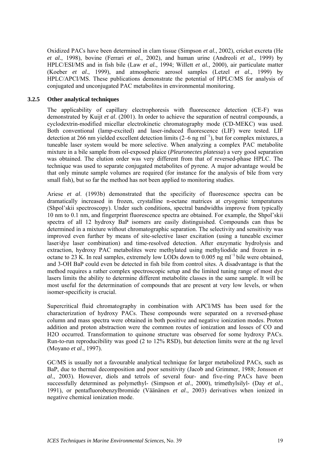<span id="page-24-0"></span>Oxidized PACs have been determined in clam tissue (Simpson *et al.*, 2002), cricket excreta (He *et al.*, 1998), bovine (Ferrari *et al.*, 2002), and human urine (Andreoli *et al.*, 1999) by HPLC/ESI/MS and in fish bile (Law *et al.*, 1994; Willett *et al.*, 2000), air particulate matter (Koeber *et al.*, 1999), and atmospheric aerosol samples (Letzel *et al.*, 1999) by HPLC/APCI/MS. These publications demonstrate the potential of HPLC/MS for analysis of conjugated and unconjugated PAC metabolites in environmental monitoring.

#### **3.2.5 Other analytical techniques**

The applicability of capillary electrophoresis with fluorescence detection (CE-F) was demonstrated by Kuijt *et al*. (2001). In order to achieve the separation of neutral compounds, a cyclodextrin-modified micellar electrokinetic chromatography mode (CD-MEKC) was used. Both conventional (lamp-excited) and laser-induced fluorescence (LIF) were tested. LIF detection at 266 nm yielded excellent detection limits (2–6 ng ml<sup>-1</sup>), but for complex mixtures, a tuneable laser system would be more selective. When analyzing a complex PAC metabolite mixture in a bile sample from oil-exposed plaice (*Pleuronectes platessa*) a very good separation was obtained. The elution order was very different from that of reversed-phase HPLC. The technique was used to separate conjugated metabolites of pyrene. A major advantage would be that only minute sample volumes are required (for instance for the analysis of bile from very small fish), but so far the method has not been applied to monitoring studies.

Ariese *et al*. (1993b) demonstrated that the specificity of fluorescence spectra can be dramatically increased in frozen, crystalline n-octane matrices at cryogenic temperatures (Shpol'skii spectroscopy). Under such conditions, spectral bandwidths improve from typically 10 nm to 0.1 nm, and fingerprint fluorescence spectra are obtained. For example, the Shpol'skii spectra of all 12 hydroxy BaP isomers are easily distinguished. Compounds can thus be determined in a mixture without chromatographic separation. The selectivity and sensitivity was improved even further by means of site-selective laser excitation (using a tuneable excimer laser/dye laser combination) and time-resolved detection. After enzymatic hydrolysis and extraction, hydroxy PAC metabolites were methylated using methyliodide and frozen in noctane to 23 K. In real samples, extremely low LODs down to  $0.005$  ng ml<sup>-1</sup> bile were obtained, and 3-OH BaP could even be detected in fish bile from control sites. A disadvantage is that the method requires a rather complex spectroscopic setup and the limited tuning range of most dye lasers limits the ability to determine different metabolite classes in the same sample. It will be most useful for the determination of compounds that are present at very low levels, or when isomer-specificity is crucial.

Supercritical fluid chromatography in combination with APCI/MS has been used for the characterization of hydroxy PACs. These compounds were separated on a reversed-phase column and mass spectra were obtained in both positive and negative ionization modes. Proton addition and proton abstraction were the common routes of ionization and losses of CO and H2O occurred. Transformation to quinone structure was observed for some hydroxy PACs. Run-to-run reproducibility was good (2 to 12% RSD), but detection limits were at the ng level (Moyano *et al*., 1997).

GC/MS is usually not a favourable analytical technique for larger metabolized PACs, such as BaP, due to thermal decomposition and poor sensitivity (Jacob and Grimmer, 1988; Jonsson *et al*., 2003). However, diols and tetrols of several four- and five-ring PACs have been successfully determined as polymethyl- (Simpson *et al*., 2000), trimethylsilyl- (Day *et al*., 1991), or pentafluorobenzylbromide (Väänänen *et al*., 2003) derivatives when ionized in negative chemical ionization mode.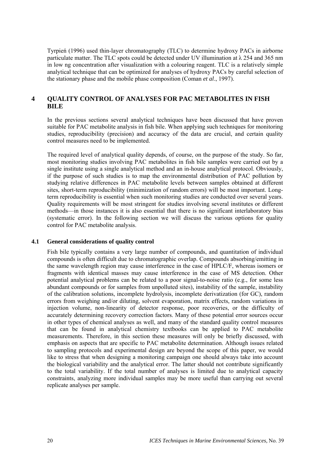<span id="page-25-0"></span>Tyrpień (1996) used thin-layer chromatography (TLC) to determine hydroxy PACs in airborne particulate matter. The TLC spots could be detected under UV illumination at  $\lambda$  254 and 365 nm in low ng concentration after visualization with a colouring reagent. TLC is a relatively simple analytical technique that can be optimized for analyses of hydroxy PACs by careful selection of the stationary phase and the mobile phase composition (Coman *et al*., 1997).

## **4 QUALITY CONTROL OF ANALYSES FOR PAC METABOLITES IN FISH BILE**

In the previous sections several analytical techniques have been discussed that have proven suitable for PAC metabolite analysis in fish bile. When applying such techniques for monitoring studies, reproducibility (precision) and accuracy of the data are crucial, and certain quality control measures need to be implemented.

The required level of analytical quality depends, of course, on the purpose of the study. So far, most monitoring studies involving PAC metabolites in fish bile samples were carried out by a single institute using a single analytical method and an in-house analytical protocol. Obviously, if the purpose of such studies is to map the environmental distribution of PAC pollution by studying relative differences in PAC metabolite levels between samples obtained at different sites, short-term reproducibility (minimization of random errors) will be most important. Longterm reproducibility is essential when such monitoring studies are conducted over several years. Quality requirements will be most stringent for studies involving several institutes or different methods—in those instances it is also essential that there is no significant interlaboratory bias (systematic error). In the following section we will discuss the various options for quality control for PAC metabolite analysis.

#### **4.1 General considerations of quality control**

Fish bile typically contains a very large number of compounds, and quantitation of individual compounds is often difficult due to chromatographic overlap. Compounds absorbing/emitting in the same wavelength region may cause interference in the case of HPLC/F, whereas isomers or fragments with identical masses may cause interference in the case of MS detection. Other potential analytical problems can be related to a poor signal-to-noise ratio (e.g., for some less abundant compounds or for samples from unpolluted sites), instability of the sample, instability of the calibration solutions, incomplete hydrolysis, incomplete derivatization (for GC), random errors from weighing and/or diluting, solvent evaporation, matrix effects, random variations in injection volume, non-linearity of detector response, poor recoveries, or the difficulty of accurately determining recovery correction factors. Many of these potential error sources occur in other types of chemical analyses as well, and many of the standard quality control measures that can be found in analytical chemistry textbooks can be applied to PAC metabolite measurements. Therefore, in this section these measures will only be briefly discussed, with emphasis on aspects that are specific to PAC metabolite determination. Although issues related to sampling protocols and experimental design are beyond the scope of this paper, we would like to stress that when designing a monitoring campaign one should always take into account the biological variability and the analytical error. The latter should not contribute significantly to the total variability. If the total number of analyses is limited due to analytical capacity constraints, analyzing more individual samples may be more useful than carrying out several replicate analyses per sample.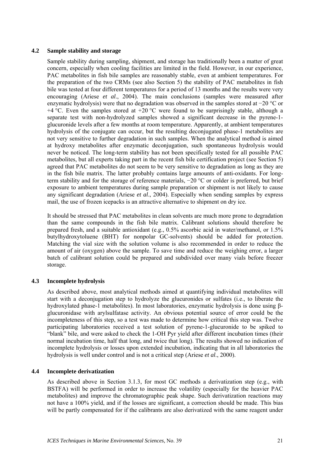#### <span id="page-26-0"></span>**4.2 Sample stability and storage**

Sample stability during sampling, shipment, and storage has traditionally been a matter of great concern, especially when cooling facilities are limited in the field. However, in our experience, PAC metabolites in fish bile samples are reasonably stable, even at ambient temperatures. For the preparation of the two CRMs (see also Section 5) the stability of PAC metabolites in fish bile was tested at four different temperatures for a period of 13 months and the results were very encouraging (Ariese *et al*., 2004). The main conclusions (samples were measured after enzymatic hydrolysis) were that no degradation was observed in the samples stored at −20 °C or  $+4$  °C. Even the samples stored at  $+20$  °C were found to be surprisingly stable, although a separate test with non-hydrolyzed samples showed a significant decrease in the pyrene-1 glucuronide levels after a few months at room temperature. Apparently, at ambient temperatures hydrolysis of the conjugate can occur, but the resulting deconjugated phase-1 metabolites are not very sensitive to further degradation in such samples. When the analytical method is aimed at hydroxy metabolites after enzymatic deconjugation, such spontaneous hydrolysis would never be noticed. The long-term stability has not been specifically tested for all possible PAC metabolites, but all experts taking part in the recent fish bile certification project (see Section 5) agreed that PAC metabolites do not seem to be very sensitive to degradation as long as they are in the fish bile matrix. The latter probably contains large amounts of anti-oxidants. For longterm stability and for the storage of reference materials, −20 °C or colder is preferred, but brief exposure to ambient temperatures during sample preparation or shipment is not likely to cause any significant degradation (Ariese *et al*., 2004). Especially when sending samples by express mail, the use of frozen icepacks is an attractive alternative to shipment on dry ice.

It should be stressed that PAC metabolites in clean solvents are much more prone to degradation than the same compounds in the fish bile matrix. Calibrant solutions should therefore be prepared fresh, and a suitable antioxidant (e.g., 0.5% ascorbic acid in water/methanol, or 1.5% butylhydroxytoluene (BHT) for nonpolar GC-solvents) should be added for protection. Matching the vial size with the solution volume is also recommended in order to reduce the amount of air (oxygen) above the sample. To save time and reduce the weighing error, a larger batch of calibrant solution could be prepared and subdivided over many vials before freezer storage.

### **4.3 Incomplete hydrolysis**

As described above, most analytical methods aimed at quantifying individual metabolites will start with a deconjugation step to hydrolyze the glucuronides or sulfates (i.e., to liberate the hydroxylated phase-1 metabolites). In most laboratories, enzymatic hydrolysis is done using βglucuronidase with arylsulfatase activity. An obvious potential source of error could be the incompleteness of this step, so a test was made to determine how critical this step was. Twelve participating laboratories received a test solution of pyrene-1-glucuronide to be spiked to "blank" bile, and were asked to check the 1-OH Pyr yield after different incubation times (their normal incubation time, half that long, and twice that long). The results showed no indication of incomplete hydrolysis or losses upon extended incubation, indicating that in all laboratories the hydrolysis is well under control and is not a critical step (Ariese *et al*., 2000).

#### **4.4 Incomplete derivatization**

As described above in Section 3.1.3, for most GC methods a derivatization step (e.g., with BSTFA) will be performed in order to increase the volatility (especially for the heavier PAC metabolites) and improve the chromatographic peak shape. Such derivatization reactions may not have a 100% yield, and if the losses are significant, a correction should be made. This bias will be partly compensated for if the calibrants are also derivatized with the same reagent under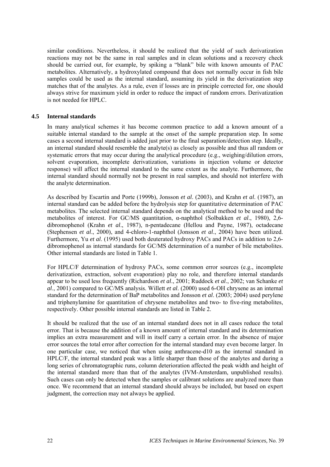<span id="page-27-0"></span>similar conditions. Nevertheless, it should be realized that the yield of such derivatization reactions may not be the same in real samples and in clean solutions and a recovery check should be carried out, for example, by spiking a "blank" bile with known amounts of PAC metabolites. Alternatively, a hydroxylated compound that does not normally occur in fish bile samples could be used as the internal standard, assuming its yield in the derivatization step matches that of the analytes. As a rule, even if losses are in principle corrected for, one should always strive for maximum yield in order to reduce the impact of random errors. Derivatization is not needed for HPLC.

#### **4.5 Internal standards**

In many analytical schemes it has become common practice to add a known amount of a suitable internal standard to the sample at the onset of the sample preparation step. In some cases a second internal standard is added just prior to the final separation/detection step. Ideally, an internal standard should resemble the analyte(s) as closely as possible and thus all random or systematic errors that may occur during the analytical procedure (e.g., weighing/dilution errors, solvent evaporation, incomplete derivatization, variations in injection volume or detector response) will affect the internal standard to the same extent as the analyte. Furthermore, the internal standard should normally not be present in real samples, and should not interfere with the analyte determination.

As described by Escartin and Porte (1999b), Jonsson *et al*. (2003), and Krahn *et al*. (1987), an internal standard can be added before the hydrolysis step for quantitative determination of PAC metabolites. The selected internal standard depends on the analytical method to be used and the metabolites of interest. For GC/MS quantitation, α-naphthol (Solbakken *et al*., 1980), 2,6 dibromophenol (Krahn *et al*., 1987), n-pentadecane (Hellou and Payne, 1987), octadecane (Stephensen *et al*., 2000), and 4-chloro-1-naphthol (Jonsson *et al*., 2004) have been utilized. Furthermore, Yu *et al*. (1995) used both deuterated hydroxy PACs and PACs in addition to 2,6 dibromophenol as internal standards for GC/MS determination of a number of bile metabolites. Other internal standards are listed in [Table 1.](#page-17-0)

For HPLC/F determination of hydroxy PACs, some common error sources (e.g., incomplete derivatization, extraction, solvent evaporation) play no role, and therefore internal standards appear to be used less frequently (Richardson *et al*., 2001; Ruddock *et al*., 2002; van Schanke *et al*., 2001) compared to GC/MS analysis. Willett *et al*. (2000) used 6-OH chrysene as an internal standard for the determination of BaP metabolites and Jonsson *et al*. (2003; 2004) used perylene and triphenylamine for quantitation of chrysene metabolites and two- to five-ring metabolites, respectively. Other possible internal standards are listed in [Table 2.](#page-18-0)

It should be realized that the use of an internal standard does not in all cases reduce the total error. That is because the addition of a known amount of internal standard and its determination implies an extra measurement and will in itself carry a certain error. In the absence of major error sources the total error after correction for the internal standard may even become larger. In one particular case, we noticed that when using anthracene-d10 as the internal standard in HPLC/F, the internal standard peak was a little sharper than those of the analytes and during a long series of chromatographic runs, column deterioration affected the peak width and height of the internal standard more than that of the analytes (IVM-Amsterdam, unpublished results). Such cases can only be detected when the samples or calibrant solutions are analyzed more than once. We recommend that an internal standard should always be included, but based on expert judgment, the correction may not always be applied.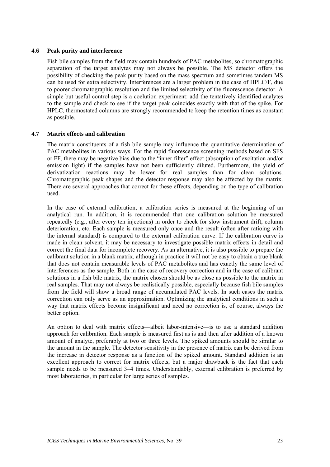#### <span id="page-28-0"></span>**4.6 Peak purity and interference**

Fish bile samples from the field may contain hundreds of PAC metabolites, so chromatographic separation of the target analytes may not always be possible. The MS detector offers the possibility of checking the peak purity based on the mass spectrum and sometimes tandem MS can be used for extra selectivity. Interferences are a larger problem in the case of HPLC/F, due to poorer chromatographic resolution and the limited selectivity of the fluorescence detector. A simple but useful control step is a coelution experiment: add the tentatively identified analytes to the sample and check to see if the target peak coincides exactly with that of the spike. For HPLC, thermostated columns are strongly recommended to keep the retention times as constant as possible.

#### **4.7 Matrix effects and calibration**

The matrix constituents of a fish bile sample may influence the quantitative determination of PAC metabolites in various ways. For the rapid fluorescence screening methods based on SFS or FF, there may be negative bias due to the "inner filter" effect (absorption of excitation and/or emission light) if the samples have not been sufficiently diluted. Furthermore, the yield of derivatization reactions may be lower for real samples than for clean solutions. Chromatographic peak shapes and the detector response may also be affected by the matrix. There are several approaches that correct for these effects, depending on the type of calibration used.

In the case of external calibration, a calibration series is measured at the beginning of an analytical run. In addition, it is recommended that one calibration solution be measured repeatedly (e.g., after every ten injections) in order to check for slow instrument drift, column deterioration, etc. Each sample is measured only once and the result (often after ratioing with the internal standard) is compared to the external calibration curve. If the calibration curve is made in clean solvent, it may be necessary to investigate possible matrix effects in detail and correct the final data for incomplete recovery. As an alternative, it is also possible to prepare the calibrant solution in a blank matrix, although in practice it will not be easy to obtain a true blank that does not contain measurable levels of PAC metabolites and has exactly the same level of interferences as the sample. Both in the case of recovery correction and in the case of calibrant solutions in a fish bile matrix, the matrix chosen should be as close as possible to the matrix in real samples. That may not always be realistically possible, especially because fish bile samples from the field will show a broad range of accumulated PAC levels. In such cases the matrix correction can only serve as an approximation. Optimizing the analytical conditions in such a way that matrix effects become insignificant and need no correction is, of course, always the better option.

An option to deal with matrix effects—albeit labor-intensive—is to use a standard addition approach for calibration. Each sample is measured first as is and then after addition of a known amount of analyte, preferably at two or three levels. The spiked amounts should be similar to the amount in the sample. The detector sensitivity in the presence of matrix can be derived from the increase in detector response as a function of the spiked amount. Standard addition is an excellent approach to correct for matrix effects, but a major drawback is the fact that each sample needs to be measured 3–4 times. Understandably, external calibration is preferred by most laboratories, in particular for large series of samples.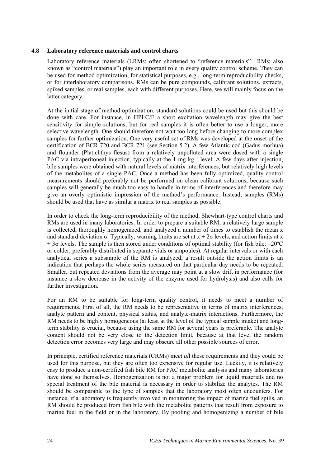#### <span id="page-29-0"></span>**4.8 Laboratory reference materials and control charts**

Laboratory reference materials (LRMs; often shortened to "reference materials"—RMs; also known as "control materials") play an important role in every quality control scheme. They can be used for method optimization, for statistical purposes, e.g., long-term reproducibility checks, or for interlaboratory comparisons. RMs can be pure compounds, calibrant solutions, extracts, spiked samples, or real samples, each with different purposes. Here, we will mainly focus on the latter category.

At the initial stage of method optimization, standard solutions could be used but this should be done with care. For instance, in HPLC/F a short excitation wavelength may give the best sensitivity for simple solutions, but for real samples it is often better to use a longer, more selective wavelength. One should therefore not wait too long before changing to more complex samples for further optimization. One very useful set of RMs was developed at the onset of the certification of BCR 720 and BCR 721 (see Section 5.2). A few Atlantic cod (Gadus morhua) and flounder (Platichthys flesus) from a relatively unpolluted area were dosed with a single PAC via intraperitoneal injection, typically at the 1 mg kg<sup>-1</sup> level. A few days after injection, bile samples were obtained with natural levels of matrix interferences, but relatively high levels of the metabolites of a single PAC. Once a method has been fully optimized, quality control measurements should preferably not be performed on clean calibrant solutions, because such samples will generally be much too easy to handle in terms of interferences and therefore may give an overly optimistic impression of the method's performance. Instead, samples (RMs) should be used that have as similar a matrix to real samples as possible.

In order to check the long-term reproducibility of the method, Shewhart-type control charts and RMs are used in many laboratories. In order to prepare a suitable RM, a relatively large sample is collected, thoroughly homogenized, and analyzed a number of times to establish the mean x and standard deviation  $\sigma$ . Typically, warning limits are set at  $x \pm 2\sigma$  levels, and action limits at x  $\pm$  3 $\sigma$  levels. The sample is then stored under conditions of optimal stability (for fish bile: –20°C or colder, preferably distributed in separate vials or ampoules). At regular intervals or with each analytical series a subsample of the RM is analyzed; a result outside the action limits is an indication that perhaps the whole series measured on that particular day needs to be repeated. Smaller, but repeated deviations from the average may point at a slow drift in performance (for instance a slow decrease in the activity of the enzyme used for hydrolysis) and also calls for further investigation.

For an RM to be suitable for long-term quality control, it needs to meet a number of requirements. First of all, the RM needs to be representative in terms of matrix interferences, analyte pattern and content, physical status, and analyte-matrix interactions. Furthermore, the RM needs to be highly homogeneous (at least at the level of the typical sample intake) and longterm stability is crucial, because using the same RM for several years is preferable. The analyte content should not be very close to the detection limit, because at that level the random detection error becomes very large and may obscure all other possible sources of error.

In principle, certified reference materials (CRMs) me*et al*l these requirements and they could be used for this purpose, but they are often too expensive for regular use. Luckily, it is relatively easy to produce a non-certified fish bile RM for PAC metabolite analysis and many laboratories have done so themselves. Homogenization is not a major problem for liquid materials and no special treatment of the bile material is necessary in order to stabilize the analytes. The RM should be comparable to the type of samples that the laboratory most often encounters. For instance, if a laboratory is frequently involved in monitoring the impact of marine fuel spills, an RM should be produced from fish bile with the metabolite patterns that result from exposure to marine fuel in the field or in the laboratory. By pooling and homogenizing a number of bile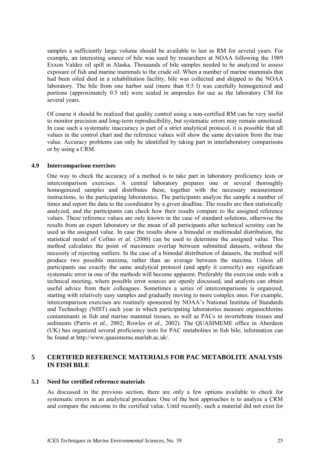<span id="page-30-0"></span>samples a sufficiently large volume should be available to last as RM for several years. For example, an interesting source of bile was used by researchers at NOAA following the 1989 Exxon Valdez oil spill in Alaska. Thousands of bile samples needed to be analyzed to assess exposure of fish and marine mammals to the crude oil. When a number of marine mammals that had been oiled died in a rehabilitation facility, bile was collected and shipped to the NOAA laboratory. The bile from one harbor seal (more than 0.5 l) was carefully homogenized and portions (approximately 0.5 ml) were sealed in ampoules for use as the laboratory CM for several years.

Of course it should be realized that quality control using a non-certified RM can be very useful to monitor precision and long-term reproducibility, but systematic errors may remain unnoticed. In case such a systematic inaccuracy is part of a strict analytical protocol, it is possible that all values in the control chart and the reference values will show the same deviation from the true value. Accuracy problems can only be identified by taking part in interlaboratory comparisons or by using a CRM.

#### **4.9 Intercomparison exercises**

One way to check the accuracy of a method is to take part in laboratory proficiency tests or intercomparison exercises. A central laboratory prepares one or several thoroughly homogenized samples and distributes these, together with the necessary measurement instructions, to the participating laboratories. The participants analyze the sample a number of times and report the data to the coordinator by a given deadline. The results are then statistically analyzed, and the participants can check how their results compare to the assigned reference values. These reference values are only known in the case of standard solutions, otherwise the results from an expert laboratory or the mean of all participants after technical scrutiny can be used as the assigned value. In case the results show a bimodal or multimodal distribution, the statistical model of Cofino *et al.* (2000) can be used to determine the assigned value. This method calculates the point of maximum overlap between submitted datasets, without the necessity of rejecting outliers. In the case of a bimodal distribution of datasets, the method will produce two possible maxima, rather than an average between the maxima. Unless all participants use exactly the same analytical protocol (and apply it correctly) any significant systematic error in one of the methods will become apparent. Preferably the exercise ends with a technical meeting, where possible error sources are openly discussed, and analysts can obtain useful advice from their colleagues. Sometimes a series of intercomparisons is organized, starting with relatively easy samples and gradually moving to more complex ones. For example, intercomparison exercises are routinely sponsored by NOAA's National Institute of Standards and Technology (NIST) each year in which participating laboratories measure organochlorine contaminants in fish and marine mammal tissues, as well as PACs in invertebrate tissues and sediments (Parris *et al*., 2002; Rowles *et al*., 2002). The QUASIMEME office in Aberdeen (UK) has organized several proficiency tests for PAC metabolites in fish bile; information can be found at http://www.quasimeme.marlab.ac.uk/.

## **5 CERTIFIED REFERENCE MATERIALS FOR PAC METABOLITE ANALYSIS IN FISH BILE**

#### **5.1 Need for certified reference materials**

As discussed in the previous section, there are only a few options available to check for systematic errors in an analytical procedure. One of the best approaches is to analyze a CRM and compare the outcome to the certified value. Until recently, such a material did not exist for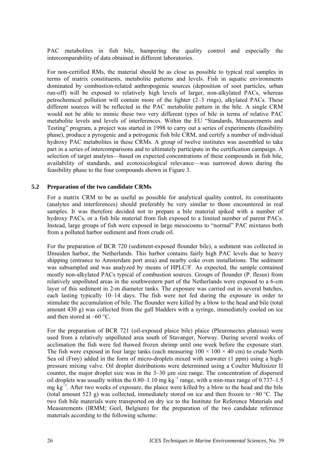<span id="page-31-0"></span>PAC metabolites in fish bile, hampering the quality control and especially the intercomparability of data obtained in different laboratories.

For non-certified RMs, the material should be as close as possible to typical real samples in terms of matrix constituents, metabolite patterns and levels. Fish in aquatic environments dominated by combustion-related anthropogenic sources (deposition of soot particles, urban run-off) will be exposed to relatively high levels of larger, non-alkylated PACs, whereas petrochemical pollution will contain more of the lighter (2–3 rings), alkylated PACs. These different sources will be reflected in the PAC metabolite pattern in the bile. A single CRM would not be able to mimic these two very different types of bile in terms of relative PAC metabolite levels and levels of interferences. Within the EU "Standards, Measurements and Testing" program, a project was started in 1998 to carry out a series of experiments (feasibility phase), produce a pyrogenic and a petrogenic fish bile CRM, and certify a number of individual hydroxy PAC metabolites in these CRMs. A group of twelve institutes was assembled to take part in a series of intercomparisons and to ultimately participate in the certification campaign. A selection of target analytes—based on expected concentrations of these compounds in fish bile, availability of standards, and ecotoxicological relevance—was narrowed down during the feasibility phase to the four compounds shown in Figure 3.

#### **5.2 Preparation of the two candidate CRMs**

For a matrix CRM to be as useful as possible for analytical quality control, its constituents (analytes and interferences) should preferably be very similar to those encountered in real samples. It was therefore decided not to prepare a bile material spiked with a number of hydroxy PACs, or a fish bile material from fish exposed to a limited number of parent PACs. Instead, large groups of fish were exposed in large mesocosms to "normal" PAC mixtures both from a polluted harbor sediment and from crude oil.

For the preparation of BCR 720 (sediment-exposed flounder bile), a sediment was collected in IJmuiden harbor, the Netherlands. This harbor contains fairly high PAC levels due to heavy shipping (entrance to Amsterdam port area) and nearby coke oven installations. The sediment was subsampled and was analyzed by means of HPLC/F. As expected, the sample contained mostly non-alkylated PACs typical of combustion sources. Groups of flounder (P. flesus) from relatively unpolluted areas in the southwestern part of the Netherlands were exposed to a 6-cm layer of this sediment in 2-m diameter tanks. The exposure was carried out in several batches, each lasting typically 10–14 days. The fish were not fed during the exposure in order to stimulate the accumulation of bile. The flounder were killed by a blow to the head and bile (total amount 430 g) was collected from the gall bladders with a syringe, immediately cooled on ice and then stored at –60 °C.

For the preparation of BCR 721 (oil-exposed plaice bile) plaice (Pleuronectes platessa) were used from a relatively unpolluted area south of Stavanger, Norway. During several weeks of acclimation the fish were fed thawed frozen shrimp until one week before the exposure start. The fish were exposed in four large tanks (each measuring  $100 \times 100 \times 40$  cm) to crude North Sea oil (Frøy) added in the form of micro-droplets mixed with seawater (1 ppm) using a highpressure mixing valve. Oil droplet distributions were determined using a Coulter Multisizer II counter, the major droplet size was in the 3–30 µm size range. The concentration of dispersed oil droplets was usually within the 0.80–1.10 mg kg<sup>-1</sup> range, with a min-max range of 0.737–1.5 mg  $kg^{-1}$ . After two weeks of exposure, the plaice were killed by a blow to the head and the bile (total amount 523 g) was collected, immediately stored on ice and then frozen to −80 °C. The two fish bile materials were transported on dry ice to the Institute for Reference Materials and Measurements (IRMM; Geel, Belgium) for the preparation of the two candidate reference materials according to the following scheme: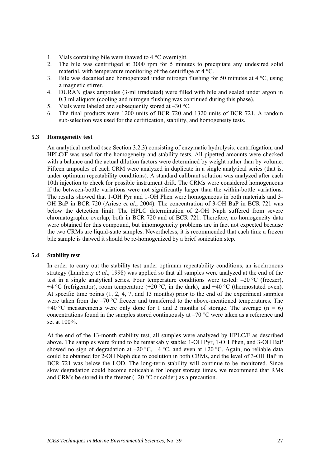- <span id="page-32-0"></span>1. Vials containing bile were thawed to 4 °C overnight.
- 2. The bile was centrifuged at 3000 rpm for 5 minutes to precipitate any undesired solid material, with temperature monitoring of the centrifuge at  $4^{\circ}$ °C.
- 3. Bile was decanted and homogenized under nitrogen flushing for 50 minutes at 4 °C, using a magnetic stirrer.
- 4. DURAN glass ampoules (3-ml irradiated) were filled with bile and sealed under argon in 0.3 ml aliquots (cooling and nitrogen flushing was continued during this phase).
- 5. Vials were labeled and subsequently stored at –30 °C.
- 6. The final products were 1200 units of BCR 720 and 1320 units of BCR 721. A random sub-selection was used for the certification, stability, and homogeneity tests.

#### **5.3 Homogeneity test**

An analytical method (see Section 3.2.3) consisting of enzymatic hydrolysis, centrifugation, and HPLC/F was used for the homogeneity and stability tests. All pipetted amounts were checked with a balance and the actual dilution factors were determined by weight rather than by volume. Fifteen ampoules of each CRM were analyzed in duplicate in a single analytical series (that is, under optimum repeatability conditions). A standard calibrant solution was analyzed after each 10th injection to check for possible instrument drift. The CRMs were considered homogeneous if the between-bottle variations were not significantly larger than the within-bottle variations. The results showed that 1-OH Pyr and 1-OH Phen were homogeneous in both materials and 3- OH BaP in BCR 720 (Ariese *et al*., 2004). The concentration of 3-OH BaP in BCR 721 was below the detection limit. The HPLC determination of 2-OH Naph suffered from severe chromatographic overlap, both in BCR 720 and of BCR 721. Therefore, no homogeneity data were obtained for this compound, but inhomogeneity problems are in fact not expected because the two CRMs are liquid-state samples. Nevertheless, it is recommended that each time a frozen bile sample is thawed it should be re-homogenized by a brief sonication step.

#### **5.4 Stability test**

In order to carry out the stability test under optimum repeatability conditions, an isochronous strategy (Lamberty *et al*., 1998) was applied so that all samples were analyzed at the end of the test in a single analytical series. Four temperature conditions were tested: –20 °C (freezer), +4 °C (refrigerator), room temperature (+20 °C, in the dark), and +40 °C (thermostated oven). At specific time points (1, 2, 4, 7, and 13 months) prior to the end of the experiment samples were taken from the  $-70$  °C freezer and transferred to the above-mentioned temperatures. The +40 °C measurements were only done for 1 and 2 months of storage. The average  $(n = 6)$ concentrations found in the samples stored continuously at –70 °C were taken as a reference and set at 100%.

At the end of the 13-month stability test, all samples were analyzed by HPLC/F as described above. The samples were found to be remarkably stable: 1-OH Pyr, 1-OH Phen, and 3-OH BaP showed no sign of degradation at  $-20$  °C,  $+4$  °C, and even at  $+20$  °C. Again, no reliable data could be obtained for 2-OH Naph due to coelution in both CRMs, and the level of 3-OH BaP in BCR 721 was below the LOD. The long-term stability will continue to be monitored. Since slow degradation could become noticeable for longer storage times, we recommend that RMs and CRMs be stored in the freezer (−20 °C or colder) as a precaution.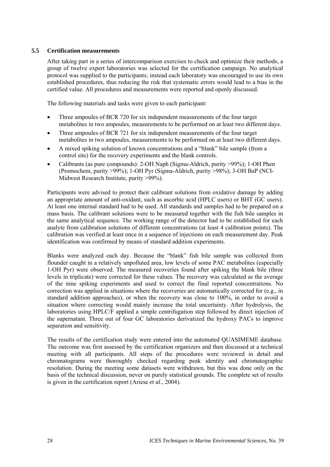#### <span id="page-33-0"></span>**5.5 Certification measurements**

After taking part in a series of intercomparison exercises to check and optimize their methods, a group of twelve expert laboratories was selected for the certification campaign. No analytical protocol was supplied to the participants; instead each laboratory was encouraged to use its own established procedures, thus reducing the risk that systematic errors would lead to a bias in the certified value. All procedures and measurements were reported and openly discussed.

The following materials and tasks were given to each participant:

- Three ampoules of BCR 720 for six independent measurements of the four target metabolites in two ampoules, measurements to be performed on at least two different days.
- Three ampoules of BCR 721 for six independent measurements of the four target metabolites in two ampoules, measurements to be performed on at least two different days.
- A mixed spiking solution of known concentrations and a "blank" bile sample (from a control site) for the recovery experiments and the blank controls.
- Calibrants (as pure compounds): 2-OH Naph (Sigma-Aldrich, purity >99%); 1-OH Phen (Promochem, purity >99%); 1-OH Pyr (Sigma-Aldrich, purity >98%); 3-OH BaP (NCI-Midwest Research Institute, purity >99%).

Participants were advised to protect their calibrant solutions from oxidative damage by adding an appropriate amount of anti-oxidant, such as ascorbic acid (HPLC users) or BHT (GC users). At least one internal standard had to be used. All standards and samples had to be prepared on a mass basis. The calibrant solutions were to be measured together with the fish bile samples in the same analytical sequence. The working range of the detector had to be established for each analyte from calibration solutions of different concentrations (at least 4 calibration points). The calibration was verified at least once in a sequence of injections on each measurement day. Peak identification was confirmed by means of standard addition experiments.

Blanks were analyzed each day. Because the "blank" fish bile sample was collected from flounder caught in a relatively unpolluted area, low levels of some PAC metabolites (especially 1-OH Pyr) were observed. The measured recoveries found after spiking the blank bile (three levels in triplicate) were corrected for these values. The recovery was calculated as the average of the nine spiking experiments and used to correct the final reported concentrations. No correction was applied in situations where the recoveries are automatically corrected for (e.g., in standard addition approaches), or when the recovery was close to 100%, in order to avoid a situation where correcting would mainly increase the total uncertainty. After hydrolysis, the laboratories using HPLC/F applied a simple centrifugation step followed by direct injection of the supernatant. Three out of four GC laboratories derivatized the hydroxy PACs to improve separation and sensitivity.

The results of the certification study were entered into the automated QUASIMEME database. The outcome was first assessed by the certification organizers and then discussed at a technical meeting with all participants. All steps of the procedures were reviewed in detail and chromatograms were thoroughly checked regarding peak identity and chromatographic resolution. During the meeting some datasets were withdrawn, but this was done only on the basis of the technical discussion, never on purely statistical grounds. The complete set of results is given in the certification report (Ariese *et al*., 2004).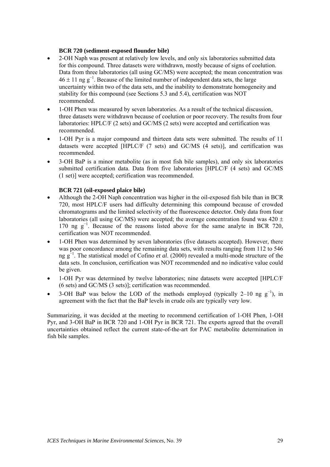#### **BCR 720 (sediment-exposed flounder bile)**

- 2-OH Naph was present at relatively low levels, and only six laboratories submitted data for this compound. Three datasets were withdrawn, mostly because of signs of coelution. Data from three laboratories (all using GC/MS) were accepted; the mean concentration was  $46 \pm 11$  ng g<sup>-1</sup>. Because of the limited number of independent data sets, the large uncertainty within two of the data sets, and the inability to demonstrate homogeneity and stability for this compound (see Sections 5.3 and 5.4), certification was NOT recommended.
- 1-OH Phen was measured by seven laboratories. As a result of the technical discussion, three datasets were withdrawn because of coelution or poor recovery. The results from four laboratories: HPLC/F (2 sets) and GC/MS (2 sets) were accepted and certification was recommended.
- 1-OH Pyr is a major compound and thirteen data sets were submitted. The results of 11 datasets were accepted [HPLC/F (7 sets) and GC/MS (4 sets)], and certification was recommended.
- 3-OH BaP is a minor metabolite (as in most fish bile samples), and only six laboratories submitted certification data. Data from five laboratories [HPLC/F (4 sets) and GC/MS (1 set)] were accepted; certification was recommended.

#### **BCR 721 (oil-exposed plaice bile)**

- Although the 2-OH Naph concentration was higher in the oil-exposed fish bile than in BCR 720, most HPLC/F users had difficulty determining this compound because of crowded chromatograms and the limited selectivity of the fluorescence detector. Only data from four laboratories (all using GC/MS) were accepted; the average concentration found was  $420 \pm$ 170 ng g<sup>−</sup><sup>1</sup> . Because of the reasons listed above for the same analyte in BCR 720, certification was NOT recommended.
- 1-OH Phen was determined by seven laboratories (five datasets accepted). However, there was poor concordance among the remaining data sets, with results ranging from 112 to 546 ng g<sup>−</sup><sup>1</sup> . The statistical model of Cofino *et al*. (2000) revealed a multi-mode structure of the data sets. In conclusion, certification was NOT recommended and no indicative value could be given.
- 1-OH Pyr was determined by twelve laboratories; nine datasets were accepted [HPLC/F (6 sets) and GC/MS (3 sets)]; certification was recommended.
- 3-OH BaP was below the LOD of the methods employed (typically 2–10 ng  $g^{-1}$ ), in agreement with the fact that the BaP levels in crude oils are typically very low.

Summarizing, it was decided at the meeting to recommend certification of 1-OH Phen, 1-OH Pyr, and 3-OH BaP in BCR 720 and 1-OH Pyr in BCR 721. The experts agreed that the overall uncertainties obtained reflect the current state-of-the-art for PAC metabolite determination in fish bile samples.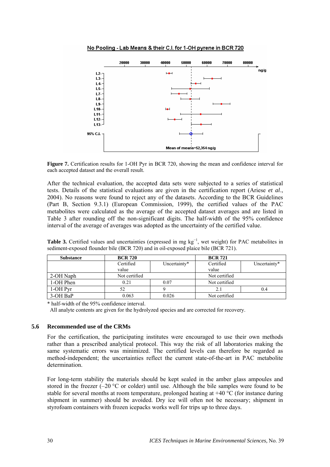<span id="page-35-0"></span>

No Pooling - Lab Means & their C.I. for 1-OH pyrene in BCR 720

**Figure 7.** Certification results for 1-OH Pyr in BCR 720, showing the mean and confidence interval for each accepted dataset and the overall result.

After the technical evaluation, the accepted data sets were subjected to a series of statistical tests. Details of the statistical evaluations are given in the certification report (Ariese *et al*., 2004). No reasons were found to reject any of the datasets. According to the BCR Guidelines (Part B, Section 9.3.1) (European Commission, 1999), the certified values of the PAC metabolites were calculated as the average of the accepted dataset averages and are listed in [Table 3](#page-35-1) after rounding off the non-significant digits. The half-width of the 95% confidence interval of the average of averages was adopted as the uncertainty of the certified value.

| <b>Substance</b> | <b>BCR 720</b> |              | <b>BCR 721</b> |              |
|------------------|----------------|--------------|----------------|--------------|
|                  | Certified      | Uncertainty* | Certified      | Uncertainty* |
|                  | value          |              | value          |              |
| 2-OH Naph        | Not certified  |              | Not certified  |              |
| 1-OH Phen        | 0.21           | 0.07         | Not certified  |              |
| 1-OH Pyr         | 52             |              | 2.1            | 0.4          |
| 3-OH BaP         | 0.063          | 0.026        | Not certified  |              |

<span id="page-35-1"></span>Table 3. Certified values and uncertainties (expressed in mg kg<sup>-1</sup>, wet weight) for PAC metabolites in sediment-exposed flounder bile (BCR 720) and in oil-exposed plaice bile (BCR 721).

\* half-width of the 95% confidence interval.

All analyte contents are given for the hydrolyzed species and are corrected for recovery.

#### **5.6 Recommended use of the CRMs**

For the certification, the participating institutes were encouraged to use their own methods rather than a prescribed analytical protocol. This way the risk of all laboratories making the same systematic errors was minimized. The certified levels can therefore be regarded as method-independent; the uncertainties reflect the current state-of-the-art in PAC metabolite determination.

For long-term stability the materials should be kept sealed in the amber glass ampoules and stored in the freezer  $(-20 \degree C$  or colder) until use. Although the bile samples were found to be stable for several months at room temperature, prolonged heating at  $+40\degree C$  (for instance during shipment in summer) should be avoided. Dry ice will often not be necessary; shipment in styrofoam containers with frozen icepacks works well for trips up to three days.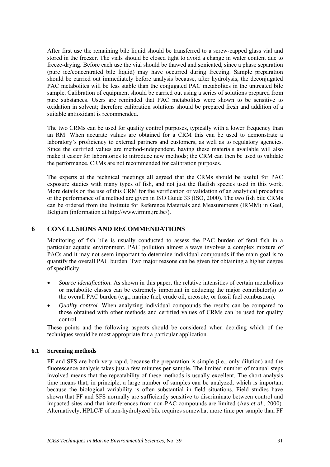<span id="page-36-0"></span>After first use the remaining bile liquid should be transferred to a screw-capped glass vial and stored in the freezer. The vials should be closed tight to avoid a change in water content due to freeze-drying. Before each use the vial should be thawed and sonicated, since a phase separation (pure ice/concentrated bile liquid) may have occurred during freezing. Sample preparation should be carried out immediately before analysis because, after hydrolysis, the deconjugated PAC metabolites will be less stable than the conjugated PAC metabolites in the untreated bile sample. Calibration of equipment should be carried out using a series of solutions prepared from pure substances. Users are reminded that PAC metabolites were shown to be sensitive to oxidation in solvent; therefore calibration solutions should be prepared fresh and addition of a suitable antioxidant is recommended.

The two CRMs can be used for quality control purposes, typically with a lower frequency than an RM. When accurate values are obtained for a CRM this can be used to demonstrate a laboratory's proficiency to external partners and customers, as well as to regulatory agencies. Since the certified values are method-independent, having these materials available will also make it easier for laboratories to introduce new methods; the CRM can then be used to validate the performance. CRMs are not recommended for calibration purposes.

The experts at the technical meetings all agreed that the CRMs should be useful for PAC exposure studies with many types of fish, and not just the flatfish species used in this work. More details on the use of this CRM for the verification or validation of an analytical procedure or the performance of a method are given in ISO Guide 33 (ISO, 2000). The two fish bile CRMs can be ordered from the Institute for Reference Materials and Measurements (IRMM) in Geel, Belgium (information at http://www.irmm.jrc.be/).

## **6 CONCLUSIONS AND RECOMMENDATIONS**

Monitoring of fish bile is usually conducted to assess the PAC burden of feral fish in a particular aquatic environment. PAC pollution almost always involves a complex mixture of PACs and it may not seem important to determine individual compounds if the main goal is to quantify the overall PAC burden. Two major reasons can be given for obtaining a higher degree of specificity:

- *Source identification*. As shown in this paper, the relative intensities of certain metabolites or metabolite classes can be extremely important in deducing the major contributor(s) to the overall PAC burden (e.g., marine fuel, crude oil, creosote, or fossil fuel combustion).
- *Quality control.* When analyzing individual compounds the results can be compared to those obtained with other methods and certified values of CRMs can be used for quality control.

These points and the following aspects should be considered when deciding which of the techniques would be most appropriate for a particular application.

### **6.1 Screening methods**

FF and SFS are both very rapid, because the preparation is simple (i.e., only dilution) and the fluorescence analysis takes just a few minutes per sample. The limited number of manual steps involved means that the repeatability of these methods is usually excellent. The short analysis time means that, in principle, a large number of samples can be analyzed, which is important because the biological variability is often substantial in field situations. Field studies have shown that FF and SFS normally are sufficiently sensitive to discriminate between control and impacted sites and that interferences from non-PAC compounds are limited (Aas *et al*., 2000). Alternatively, HPLC/F of non-hydrolyzed bile requires somewhat more time per sample than FF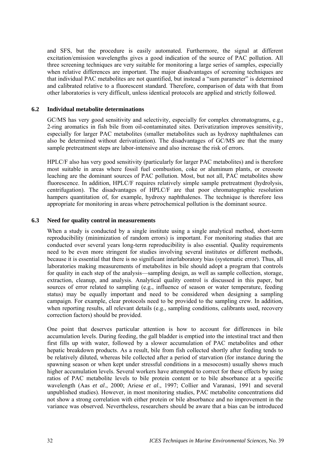<span id="page-37-0"></span>and SFS, but the procedure is easily automated. Furthermore, the signal at different excitation/emission wavelengths gives a good indication of the source of PAC pollution. All three screening techniques are very suitable for monitoring a large series of samples, especially when relative differences are important. The major disadvantages of screening techniques are that individual PAC metabolites are not quantified, but instead a "sum parameter" is determined and calibrated relative to a fluorescent standard. Therefore, comparison of data with that from other laboratories is very difficult, unless identical protocols are applied and strictly followed.

#### **6.2 Individual metabolite determinations**

GC/MS has very good sensitivity and selectivity, especially for complex chromatograms, e.g., 2-ring aromatics in fish bile from oil-contaminated sites. Derivatization improves sensitivity, especially for larger PAC metabolites (smaller metabolites such as hydroxy naphthalenes can also be determined without derivatization). The disadvantages of GC/MS are that the many sample pretreatment steps are labor-intensive and also increase the risk of errors.

HPLC/F also has very good sensitivity (particularly for larger PAC metabolites) and is therefore most suitable in areas where fossil fuel combustion, coke or aluminum plants, or creosote leaching are the dominant sources of PAC pollution. Most, but not all, PAC metabolites show fluorescence. In addition, HPLC/F requires relatively simple sample pretreatment (hydrolysis, centrifugation). The disadvantages of HPLC/F are that poor chromatographic resolution hampers quantitation of, for example, hydroxy naphthalenes. The technique is therefore less appropriate for monitoring in areas where petrochemical pollution is the dominant source.

#### **6.3 Need for quality control in measurements**

When a study is conducted by a single institute using a single analytical method, short-term reproducibility (minimization of random errors) is important. For monitoring studies that are conducted over several years long-term reproducibility is also essential. Quality requirements need to be even more stringent for studies involving several institutes or different methods, because it is essential that there is no significant interlaboratory bias (systematic error). Thus, all laboratories making measurements of metabolites in bile should adopt a program that controls for quality in each step of the analysis—sampling design, as well as sample collection, storage, extraction, cleanup, and analysis. Analytical quality control is discussed in this paper, but sources of error related to sampling (e.g., influence of season or water temperature, feeding status) may be equally important and need to be considered when designing a sampling campaign. For example, clear protocols need to be provided to the sampling crew. In addition, when reporting results, all relevant details (e.g., sampling conditions, calibrants used, recovery correction factors) should be provided.

One point that deserves particular attention is how to account for differences in bile accumulation levels. During feeding, the gall bladder is emptied into the intestinal tract and then first fills up with water, followed by a slower accumulation of PAC metabolites and other hepatic breakdown products. As a result, bile from fish collected shortly after feeding tends to be relatively diluted, whereas bile collected after a period of starvation (for instance during the spawning season or when kept under stressful conditions in a mesocosm) usually shows much higher accumulation levels. Several workers have attempted to correct for these effects by using ratios of PAC metabolite levels to bile protein content or to bile absorbance at a specific wavelength (Aas *et al*., 2000; Ariese *et al*., 1997; Collier and Varanasi, 1991 and several unpublished studies). However, in most monitoring studies, PAC metabolite concentrations did not show a strong correlation with either protein or bile absorbance and no improvement in the variance was observed. Nevertheless, researchers should be aware that a bias can be introduced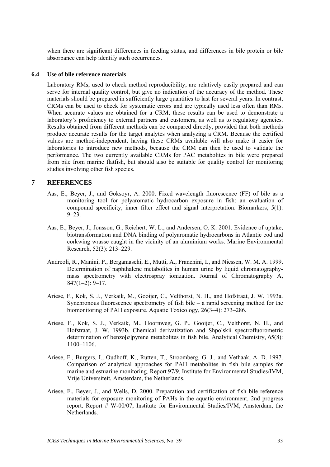<span id="page-38-0"></span>when there are significant differences in feeding status, and differences in bile protein or bile absorbance can help identify such occurrences.

#### **6.4 Use of bile reference materials**

Laboratory RMs, used to check method reproducibility, are relatively easily prepared and can serve for internal quality control, but give no indication of the accuracy of the method. These materials should be prepared in sufficiently large quantities to last for several years. In contrast, CRMs can be used to check for systematic errors and are typically used less often than RMs. When accurate values are obtained for a CRM, these results can be used to demonstrate a laboratory's proficiency to external partners and customers, as well as to regulatory agencies. Results obtained from different methods can be compared directly, provided that both methods produce accurate results for the target analytes when analyzing a CRM. Because the certified values are method-independent, having these CRMs available will also make it easier for laboratories to introduce new methods, because the CRM can then be used to validate the performance. The two currently available CRMs for PAC metabolites in bile were prepared from bile from marine flatfish, but should also be suitable for quality control for monitoring studies involving other fish species.

#### **7 REFERENCES**

- Aas, E., Beyer, J., and Goksoyr, A. 2000. Fixed wavelength fluorescence (FF) of bile as a monitoring tool for polyaromatic hydrocarbon exposure in fish: an evaluation of compound specificity, inner filter effect and signal interpretation. Biomarkers, 5(1):  $9 - 23$ .
- Aas, E., Beyer, J., Jonsson, G., Reichert, W. L., and Andersen, O. K. 2001. Evidence of uptake, biotransformation and DNA binding of polyaromatic hydrocarbons in Atlantic cod and corkwing wrasse caught in the vicinity of an aluminium works. Marine Environmental Research, 52(3): 213–229.
- Andreoli, R., Manini, P., Bergamaschi, E., Mutti, A., Franchini, I., and Niessen, W. M. A. 1999. Determination of naphthalene metabolites in human urine by liquid chromatographymass spectrometry with electrospray ionization. Journal of Chromatography A,  $847(1-2): 9-17.$
- Ariese, F., Kok, S. J., Verkaik, M., Gooijer, C., Velthorst, N. H., and Hofstraat, J. W. 1993a. Synchronous fluorescence spectrometry of fish bile – a rapid screening method for the biomonitoring of PAH exposure. Aquatic Toxicology, 26(3–4): 273–286.
- Ariese, F., Kok, S. J., Verkaik, M., Hoornweg, G. P., Gooijer, C., Velthorst, N. H., and Hofstraat, J. W. 1993b. Chemical derivatization and Shpolskii spectrofluorometric determination of benzo $[a]$ pyrene metabolites in fish bile. Analytical Chemistry,  $65(8)$ : 1100–1106.
- Ariese, F., Burgers, I., Oudhoff, K., Rutten, T., Stroomberg, G. J., and Vethaak, A. D. 1997. Comparison of analytical approaches for PAH metabolites in fish bile samples for marine and estuarine monitoring. Report 97/9, Institute for Environmental Studies/IVM, Vrije Universiteit, Amsterdam, the Netherlands.
- Ariese, F., Beyer, J., and Wells, D. 2000. Preparation and certification of fish bile reference materials for exposure monitoring of PAHs in the aquatic environment, 2nd progress report. Report  $\hat{H}$  W-00/07, Institute for Environmental Studies/IVM, Amsterdam, the Netherlands.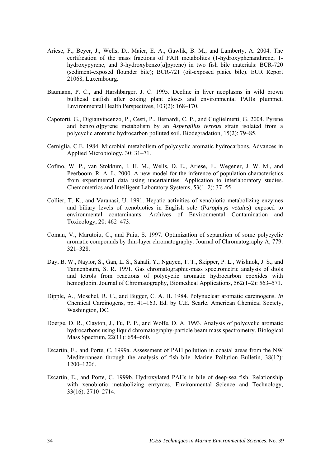- Ariese, F., Beyer, J., Wells, D., Maier, E. A., Gawlik, B. M., and Lamberty, A. 2004. The certification of the mass fractions of PAH metabolites (1-hydroxyphenanthrene, 1 hydroxypyrene, and 3-hydroxybenzo[*a*]pyrene) in two fish bile materials: BCR-720 (sediment-exposed flounder bile); BCR-721 (oil-exposed plaice bile). EUR Report 21068, Luxembourg.
- Baumann, P. C., and Harshbarger, J. C. 1995. Decline in liver neoplasms in wild brown bullhead catfish after coking plant closes and environmental PAHs plummet. Environmental Health Perspectives, 103(2): 168–170.
- Capotorti, G., Digianvincenzo, P., Cesti, P., Bernardi, C. P., and Guglielmetti, G. 2004. Pyrene and benzo[*a*]pyrene metabolism by an *Aspergillus terreus* strain isolated from a polycyclic aromatic hydrocarbon polluted soil. Biodegradation, 15(2): 79–85.
- Cerniglia, C.E. 1984. Microbial metabolism of polycyclic aromatic hydrocarbons. Advances in Applied Microbiology, 30: 31–71.
- Cofino, W. P., van Stokkum, I. H. M., Wells, D. E., Ariese, F., Wegener, J. W. M., and Peerboom, R. A. L. 2000. A new model for the inference of population characteristics from experimental data using uncertainties. Application to interlaboratory studies. Chemometrics and Intelligent Laboratory Systems, 53(1–2): 37–55.
- Collier, T. K., and Varanasi, U. 1991. Hepatic activities of xenobiotic metabolizing enzymes and biliary levels of xenobiotics in English sole (*Parophrys vetulus*) exposed to environmental contaminants. Archives of Environmental Contamination and Toxicology, 20: 462–473.
- Coman, V., Marutoiu, C., and Puiu, S. 1997. Optimization of separation of some polycyclic aromatic compounds by thin-layer chromatography. Journal of Chromatography A, 779: 321–328.
- Day, B. W., Naylor, S., Gan, L. S., Sahali, Y., Nguyen, T. T., Skipper, P. L., Wishnok, J. S., and Tannenbaum, S. R. 1991. Gas chromatographic-mass spectrometric analysis of diols and tetrols from reactions of polycyclic aromatic hydrocarbon epoxides with hemoglobin. Journal of Chromatography, Biomedical Applications, 562(1–2): 563–571.
- Dipple, A., Moschel, R. C., and Bigger, C. A. H. 1984. Polynuclear aromatic carcinogens. *In* Chemical Carcinogens, pp. 41–163. Ed. by C.E. Searle. American Chemical Society, Washington, DC.
- Doerge, D. R., Clayton, J., Fu, P. P., and Wolfe, D. A. 1993. Analysis of polycyclic aromatic hydrocarbons using liquid chromatography-particle beam mass spectrometry. Biological Mass Spectrum, 22(11): 654–660.
- Escartin, E., and Porte, C. 1999a. Assessment of PAH pollution in coastal areas from the NW Mediterranean through the analysis of fish bile. Marine Pollution Bulletin, 38(12): 1200–1206.
- Escartin, E., and Porte, C. 1999b. Hydroxylated PAHs in bile of deep-sea fish. Relationship with xenobiotic metabolizing enzymes. Environmental Science and Technology, 33(16): 2710–2714.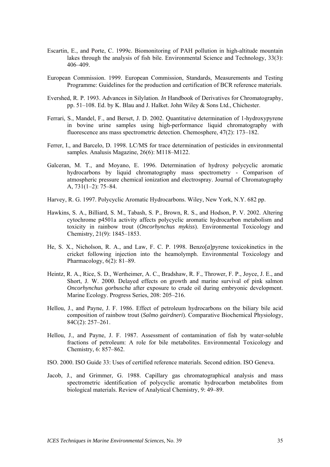- Escartin, E., and Porte, C. 1999c. Biomonitoring of PAH pollution in high-altitude mountain lakes through the analysis of fish bile. Environmental Science and Technology, 33(3): 406–409.
- European Commission. 1999. European Commission, Standards, Measurements and Testing Programme: Guidelines for the production and certification of BCR reference materials.
- Evershed, R. P. 1993. Advances in Silylation. *In* Handbook of Derivatives for Chromatography, pp. 51–108. Ed. by K. Blau and J. Halket. John Wiley & Sons Ltd., Chichester.
- Ferrari, S., Mandel, F., and Berset, J. D. 2002. Quantitative determination of 1-hydroxypyrene in bovine urine samples using high-performance liquid chromatography with fluorescence ans mass spectrometric detection. Chemosphere, 47(2): 173–182.
- Ferrer, I., and Barcelo, D. 1998. LC/MS for trace determination of pesticides in environmental samples. Analusis Magazine, 26(6): M118–M122.
- Galceran, M. T., and Moyano, E. 1996. Determination of hydroxy polycyclic aromatic hydrocarbons by liquid chromatography mass spectrometry - Comparison of atmospheric pressure chemical ionization and electrospray. Journal of Chromatography A, 731(1–2): 75–84.
- Harvey, R. G. 1997. Polycyclic Aromatic Hydrocarbons. Wiley, New York, N.Y. 682 pp.
- Hawkins, S. A., Billiard, S. M., Tabash, S. P., Brown, R. S., and Hodson, P. V. 2002. Altering cytochrome p4501a activity affects polycyclic aromatic hydrocarbon metabolism and toxicity in rainbow trout (*Oncorhynchus mykiss*). Environmental Toxicology and Chemistry, 21(9): 1845–1853.
- He, S. X., Nicholson, R. A., and Law, F. C. P. 1998. Benzo[*a*]pyrene toxicokinetics in the cricket following injection into the heamolymph. Environmental Toxicology and Pharmacology, 6(2): 81–89.
- Heintz, R. A., Rice, S. D., Wertheimer, A. C., Bradshaw, R. F., Thrower, F. P., Joyce, J. E., and Short, J. W. 2000. Delayed effects on growth and marine survival of pink salmon *Oncorhynchus gorbuscha* after exposure to crude oil during embryonic development. Marine Ecology. Progress Series, 208: 205–216.
- Hellou, J., and Payne, J. F. 1986. Effect of petroleum hydrocarbons on the biliary bile acid composition of rainbow trout (*Salmo gairdneri*). Comparative Biochemical Physiology, 84C(2): 257–261.
- Hellou, J., and Payne, J. F. 1987. Assessment of contamination of fish by water-soluble fractions of petroleum: A role for bile metabolites. Environmental Toxicology and Chemistry, 6: 857–862.
- ISO. 2000. ISO Guide 33: Uses of certified reference materials. Second edition. ISO Geneva.
- Jacob, J., and Grimmer, G. 1988. Capillary gas chromatographical analysis and mass spectrometric identification of polycyclic aromatic hydrocarbon metabolites from biological materials. Review of Analytical Chemistry, 9: 49–89.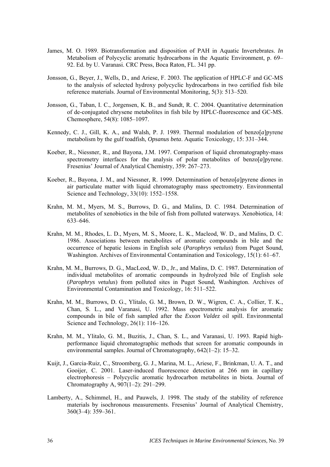- James, M. O. 1989. Biotransformation and disposition of PAH in Aquatic Invertebrates. *In*  Metabolism of Polycyclic aromatic hydrocarbons in the Aquatic Environment, p. 69– 92. Ed. by U. Varanasi. CRC Press, Boca Raton, FL. 341 pp.
- Jonsson, G., Beyer, J., Wells, D., and Ariese, F. 2003. The application of HPLC-F and GC-MS to the analysis of selected hydroxy polycyclic hydrocarbons in two certified fish bile reference materials. Journal of Environmental Monitoring, 5(3): 513–520.
- Jonsson, G., Taban, I. C., Jorgensen, K. B., and Sundt, R. C. 2004. Quantitative determination of de-conjugated chrysene metabolites in fish bile by HPLC-fluorescence and GC-MS. Chemosphere, 54(8): 1085–1097.
- Kennedy, C. J., Gill, K. A., and Walsh, P. J. 1989. Thermal modulation of benzo[*a*]pyrene metabolism by the gulf toadfish, *Opsanus beta*. Aquatic Toxicology, 15: 331–344.
- Koeber, R., Niessner, R., and Bayona, J.M. 1997. Comparison of liquid chromatography-mass spectrometry interfaces for the analysis of polar metabolites of benzo[*a*]pyrene. Fresenius' Journal of Analytical Chemistry, 359: 267–273.
- Koeber, R., Bayona, J. M., and Niessner, R. 1999. Determination of benzo[*a*]pyrene diones in air particulate matter with liquid chromatography mass spectrometry. Environmental Science and Technology, 33(10): 1552–1558.
- Krahn, M. M., Myers, M. S., Burrows, D. G., and Malins, D. C. 1984. Determination of metabolites of xenobiotics in the bile of fish from polluted waterways. Xenobiotica, 14: 633–646.
- Krahn, M. M., Rhodes, L. D., Myers, M. S., Moore, L. K., Macleod, W. D., and Malins, D. C. 1986. Associations between metabolites of aromatic compounds in bile and the occurrence of hepatic lesions in English sole (*Parophrys vetulus*) from Puget Sound, Washington. Archives of Environmental Contamination and Toxicology, 15(1): 61–67.
- Krahn, M. M., Burrows, D. G., MacLeod, W. D., Jr., and Malins, D. C. 1987. Determination of individual metabolites of aromatic compounds in hydrolyzed bile of English sole (*Parophrys vetulus*) from polluted sites in Puget Sound, Washington. Archives of Environmental Contamination and Toxicology, 16: 511–522.
- Krahn, M. M., Burrows, D. G., Ylitalo, G. M., Brown, D. W., Wigren, C. A., Collier, T. K., Chan, S. L., and Varanasi, U. 1992. Mass spectrometric analysis for aromatic compounds in bile of fish sampled after the *Exxon Valdez* oil spill. Environmental Science and Technology, 26(1): 116–126.
- Krahn, M. M., Ylitalo, G. M., Buzitis, J., Chan, S. L., and Varanasi, U. 1993. Rapid highperformance liquid chromatographic methods that screen for aromatic compounds in environmental samples. Journal of Chromatography, 642(1–2): 15–32.
- Kuijt, J., Garcia-Ruiz, C., Stroomberg, G. J., Marina, M. L., Ariese, F., Brinkman, U. A. T., and Gooijer, C. 2001. Laser-induced fluorescence detection at 266 nm in capillary electrophoresis – Polycyclic aromatic hydrocarbon metabolites in biota. Journal of Chromatography A, 907(1–2): 291–299.
- Lamberty, A., Schimmel, H., and Pauwels, J. 1998. The study of the stability of reference materials by isochronous measurements. Fresenius' Journal of Analytical Chemistry, 360(3–4): 359–361.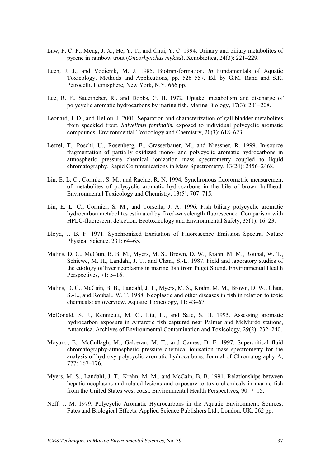- Law, F. C. P., Meng, J. X., He, Y. T., and Chui, Y. C. 1994. Urinary and biliary metabolites of pyrene in rainbow trout (*Oncorhynchus mykiss*). Xenobiotica, 24(3): 221–229.
- Lech, J. J., and Vodicnik, M. J. 1985. Biotransformation. *In* Fundamentals of Aquatic Toxicology, Methods and Applications, pp. 526–557. Ed. by G.M. Rand and S.R. Petrocelli. Hemisphere, New York, N.Y. 666 pp.
- Lee, R. F., Sauerheber, R., and Dobbs, G. H. 1972. Uptake, metabolism and discharge of polycyclic aromatic hydrocarbons by marine fish. Marine Biology, 17(3): 201–208.
- Leonard, J. D., and Hellou, J. 2001. Separation and characterization of gall bladder metabolites from speckled trout, *Salvelinus fontinalis*, exposed to individual polycyclic aromatic compounds. Environmental Toxicology and Chemistry, 20(3): 618–623.
- Letzel, T., Poschl, U., Rosenberg, E., Grasserbauer, M., and Niessner, R. 1999. In-source fragmentation of partially oxidized mono- and polycyclic aromatic hydrocarbons in atmospheric pressure chemical ionization mass spectrometry coupled to liquid chromatography. Rapid Communications in Mass Spectrometry, 13(24): 2456–2468.
- Lin, E. L. C., Cormier, S. M., and Racine, R. N. 1994. Synchronous fluorometric measurement of metabolites of polycyclic aromatic hydrocarbons in the bile of brown bullhead. Environmental Toxicology and Chemistry, 13(5): 707–715.
- Lin, E. L. C., Cormier, S. M., and Torsella, J. A. 1996. Fish biliary polycyclic aromatic hydrocarbon metabolites estimated by fixed-wavelength fluorescence: Comparison with HPLC-fluorescent detection. Ecotoxicology and Environmental Safety, 35(1): 16–23.
- Lloyd, J. B. F. 1971. Synchronized Excitation of Fluorescence Emission Spectra. Nature Physical Science, 231: 64–65.
- Malins, D. C., McCain, B. B, M., Myers, M. S., Brown, D. W., Krahn, M. M., Roubal, W. T., Schiewe, M. H., Landahl, J. T., and Chan., S.-L. 1987. Field and laboratory studies of the etiology of liver neoplasms in marine fish from Puget Sound. Environmental Health Perspectives, 71: 5–16.
- Malins, D. C., McCain, B. B., Landahl, J. T., Myers, M. S., Krahn, M. M., Brown, D. W., Chan, S.-L., and Roubal., W. T. 1988. Neoplastic and other diseases in fish in relation to toxic chemicals: an overview. Aquatic Toxicology, 11: 43–67.
- McDonald, S. J., Kennicutt, M. C., Liu, H., and Safe, S. H. 1995. Assessing aromatic hydrocarbon exposure in Antarctic fish captured near Palmer and McMurdo stations, Antarctica. Archives of Environmental Contamination and Toxicology, 29(2): 232–240.
- Moyano, E., McCullagh, M., Galceran, M. T., and Games, D. E. 1997. Supercritical fluid chromatography-atmospheric pressure chemical ionisation mass spectrometry for the analysis of hydroxy polycyclic aromatic hydrocarbons. Journal of Chromatography A, 777: 167–176.
- Myers, M. S., Landahl, J. T., Krahn, M. M., and McCain, B. B. 1991. Relationships between hepatic neoplasms and related lesions and exposure to toxic chemicals in marine fish from the United States west coast. Environmental Health Perspectives, 90: 7–15.
- Neff, J. M. 1979. Polycyclic Aromatic Hydrocarbons in the Aquatic Environment: Sources, Fates and Biological Effects. Applied Science Publishers Ltd., London, UK. 262 pp.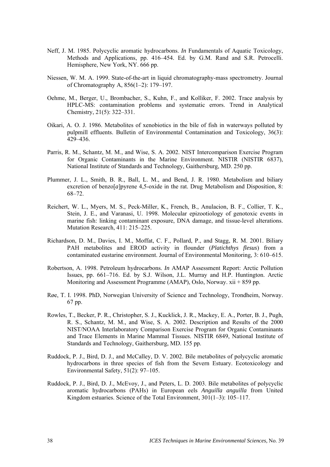- Neff, J. M. 1985. Polycyclic aromatic hydrocarbons. *In* Fundamentals of Aquatic Toxicology, Methods and Applications, pp. 416–454. Ed. by G.M. Rand and S.R. Petrocelli. Hemisphere, New York, NY. 666 pp.
- Niessen, W. M. A. 1999. State-of-the-art in liquid chromatography-mass spectrometry. Journal of Chromatography A, 856(1–2): 179–197.
- Oehme, M., Berger, U., Brombacher, S., Kuhn, F., and Kolliker, F. 2002. Trace analysis by HPLC-MS: contamination problems and systematic errors. Trend in Analytical Chemistry, 21(5): 322–331.
- Oikari, A. O. J. 1986. Metabolites of xenobiotics in the bile of fish in waterways polluted by pulpmill effluents. Bulletin of Environmental Contamination and Toxicology, 36(3): 429–436.
- Parris, R. M., Schantz, M. M., and Wise, S. A. 2002. NIST Intercomparison Exercise Program for Organic Contaminants in the Marine Environment. NISTIR (NISTIR 6837), National Institute of Standards and Technology, Gaithersburg, MD. 250 pp.
- Plummer, J. L., Smith, B. R., Ball, L. M., and Bend, J. R. 1980. Metabolism and biliary excretion of benzo $[a]$ pyrene 4,5-oxide in the rat. Drug Metabolism and Disposition, 8: 68–72.
- Reichert, W. L., Myers, M. S., Peck-Miller, K., French, B., Anulacion, B. F., Collier, T. K., Stein, J. E., and Varanasi, U. 1998. Molecular epizootiology of genotoxic events in marine fish: linking contaminant exposure, DNA damage, and tissue-level alterations. Mutation Research, 411: 215–225.
- Richardson, D. M., Davies, I. M., Moffat, C. F., Pollard, P., and Stagg, R. M. 2001. Biliary PAH metabolites and EROD activity in flounder (*Platichthys flesus*) from a contaminated eustarine environment. Journal of Environmental Monitoring, 3: 610–615.
- Robertson, A. 1998. Petroleum hydrocarbons. *In* AMAP Assessment Report: Arctic Pollution Issues, pp. 661–716. Ed. by S.J. Wilson, J.L. Murray and H.P. Huntington. Arctic Monitoring and Assessment Programme (AMAP), Oslo, Norway. xii + 859 pp.
- Røe, T. I. 1998. PhD, Norwegian University of Science and Technology, Trondheim, Norway. 67 pp.
- Rowles, T., Becker, P. R., Christopher, S. J., Kucklick, J. R., Mackey, E. A., Porter, B. J., Pugh, R. S., Schantz, M. M., and Wise, S. A. 2002. Description and Results of the 2000 NIST/NOAA Interlaboratory Comparison Exercise Program for Organic Contaminants and Trace Elements in Marine Mammal Tissues. NISTIR 6849, National Institute of Standards and Technology, Gaithersburg, MD. 155 pp.
- Ruddock, P. J., Bird, D. J., and McCalley, D. V. 2002. Bile metabolites of polycyclic aromatic hydrocarbons in three species of fish from the Severn Estuary. Ecotoxicology and Environmental Safety, 51(2): 97–105.
- Ruddock, P. J., Bird, D. J., McEvoy, J., and Peters, L. D. 2003. Bile metabolites of polycyclic aromatic hydrocarbons (PAHs) in European eels *Anguilla anguilla* from United Kingdom estuaries. Science of the Total Environment, 301(1–3): 105–117.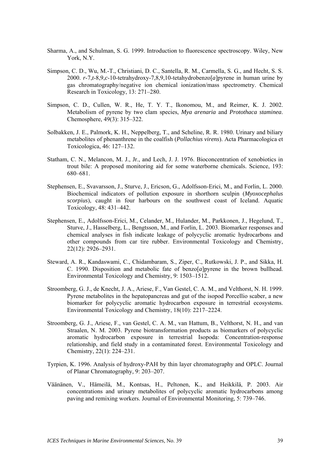- Sharma, A., and Schulman, S. G. 1999. Introduction to fluorescence spectroscopy. Wiley, New York, N.Y.
- Simpson, C. D., Wu, M.-T., Christiani, D. C., Santella, R. M., Carmella, S. G., and Hecht, S. S. 2000. *r*-7,*t*-8,9,*c*-10-tetrahydroxy-7,8,9,10-tetahydrobenzo[*a*]pyrene in human urine by gas chromatography/negative ion chemical ionization/mass spectrometry. Chemical Research in Toxicology, 13: 271–280.
- Simpson, C. D., Cullen, W. R., He, T. Y. T., Ikonomou, M., and Reimer, K. J. 2002. Metabolism of pyrene by two clam species, *Mya arenaria* and *Protothaca staminea*. Chemosphere, 49(3): 315–322.
- Solbakken, J. E., Palmork, K. H., Neppelberg, T., and Scheline, R. R. 1980. Urinary and biliary metabolites of phenanthrene in the coalfish (*Pollachius virens*). Acta Pharmacologica et Toxicologica, 46: 127–132.
- Statham, C. N., Melancon, M. J., Jr., and Lech, J. J. 1976. Bioconcentration of xenobiotics in trout bile: A proposed monitoring aid for some waterborne chemicals. Science, 193: 680–681.
- Stephensen, E., Svavarsson, J., Sturve, J., Ericson, G., Adolfsson-Erici, M., and Forlin, L. 2000. Biochemical indicators of pollution exposure in shorthorn sculpin (*Myoxocephalus scorpius*), caught in four harbours on the southwest coast of Iceland. Aquatic Toxicology, 48: 431–442.
- Stephensen, E., Adolfsson-Erici, M., Celander, M., Hulander, M., Parkkonen, J., Hegelund, T., Sturve, J., Hasselberg, L., Bengtsson, M., and Forlin, L. 2003. Biomarker responses and chemical analyses in fish indicate leakage of polycyclic aromatic hydrocarbons and other compounds from car tire rubber. Environmental Toxicology and Chemistry, 22(12): 2926–2931.
- Steward, A. R., Kandaswami, C., Chidambaram, S., Ziper, C., Rutkowski, J. P., and Sikka, H. C. 1990. Disposition and metabolic fate of benzo[*a*]pyrene in the brown bullhead. Environmental Toxicology and Chemistry, 9: 1503–1512.
- Stroomberg, G. J., de Knecht, J. A., Ariese, F., Van Gestel, C. A. M., and Velthorst, N. H. 1999. Pyrene metabolites in the hepatopancreas and gut of the isopod Porcellio scaber, a new biomarker for polycyclic aromatic hydrocarbon exposure in terrestrial ecosystems. Environmental Toxicology and Chemistry, 18(10): 2217–2224.
- Stroomberg, G. J., Ariese, F., van Gestel, C. A. M., van Hattum, B., Velthorst, N. H., and van Straalen, N. M. 2003. Pyrene biotransformation products as biomarkers of polycyclic aromatic hydrocarbon exposure in terrestrial Isopoda: Concentration-response relationship, and field study in a contaminated forest. Environmental Toxicology and Chemistry, 22(1): 224–231.
- Tyrpien, K. 1996. Analysis of hydroxy-PAH by thin layer chromatography and OPLC. Journal of Planar Chromatography*,* 9: 203–207.
- Väänänen, V., Hämeilä, M., Kontsas, H., Peltonen, K., and Heikkilä, P. 2003. Air concentrations and urinary metabolites of polycyclic aromatic hydrocarbons among paving and remixing workers. Journal of Environmental Monitoring, 5: 739–746.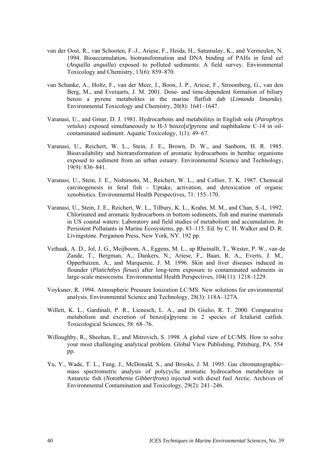- van der Oost, R., van Schooten, F.-J., Ariese, F., Heida, H., Satumalay, K., and Vermeulen, N. 1994. Bioaccumulation, biotransformation and DNA binding of PAHs in feral eel (*Anguilla anguilla*) exposed to polluted sediments: A field survey. Environmental Toxicology and Chemistry, 13(6): 859–870.
- van Schanke, A., Holtz, F., van der Meer, J., Boon, J. P., Ariese, F., Stroomberg, G., van den Berg, M., and Everaarts, J. M. 2001. Dose- and time-dependent formation of biliary benzo a pyrene metabolites in the marine flatfish dab (*Limanda limanda*). Environmental Toxicology and Chemistry, 20(8): 1641–1647.
- Varanasi, U., and Gmur, D. J. 1981. Hydrocarbons and metabolites in English sole (*Parophrys vetulus*) exposed simultaneously to H-3 benzo[*a*]pyrene and naphthalene C-14 in oilcontaminated sediment. Aquatic Toxicology, 1(1): 49–67.
- Varanasi, U., Reichert, W. L., Stein, J. E., Brown, D. W., and Sanborn, H. R. 1985. Bioavailability and biotransformation of aromatic hydrocarbons in benthic organisms exposed to sediment from an urban estuary. Environmental Science and Technology, 19(9): 836–841.
- Varanasi, U., Stein, J. E., Nishimoto, M., Reichert, W. L., and Collier, T. K. 1987. Chemical carcinogenesis in feral fish - Uptake, activation, and detoxication of organic xenobiotics. Environmental Health Perspectives, 71: 155–170.
- Varanasi, U., Stein, J. E., Reichert, W. L., Tilbury, K. L., Krahn, M. M., and Chan, S.-L. 1992. Chlorinated and aromatic hydrocarbons in bottom sediments, fish and marine mammals in US coastal waters: Laboratory and field studies of metabolism and accumulation. *In* Persistent Pollutants in Marine Ecosystems, pp. 83–115. Ed. by C. H. Walker and D. R. Livingstone. Pergamon Press, New York, NY. 192 pp.
- Vethaak, A. D., Jol, J. G., Meijboom, A., Eggens, M. L., ap Rheinallt, T., Wester, P. W., van de Zande, T., Bergman, A., Dankers, N., Ariese, F., Baan, R. A., Everts, J. M., Opperhuizen, A., and Marquenie, J. M. 1996. Skin and liver diseases induced in flounder (*Platichthys flesus*) after long-term exposure to contaminated sediments in large-scale mesocosms. Environmental Health Perspectives, 104(11): 1218–1229.
- Voyksner, R. 1994. Atmospheric Pressure Ionization LC/MS. New solutions for environmental analysis. Environmental Science and Technology, 28(3): 118A–127A.
- Willett, K. L., Gardinali, P. R., Lienesch, L. A., and Di Giulio, R. T. 2000. Comparative metabolism and excretion of benzo[a]pyrene in 2 species of Ictalurid catfish. Toxicological Sciences, 58: 68–76.
- Willoughby, R., Sheehan, E., and Mitrovich, S. 1998. A global view of LC/MS. How to solve your most challenging analytical problem. Global View Publishing, Pittsburg, PA. 554 pp.
- Yu, Y., Wade, T. L., Fang, J., McDonald, S., and Brooks, J. M. 1995. Gas chromatographicmass spectrometric analysis of polycyclic aromatic hydrocarbon metabolites in Antarctic fish (*Notothenia Gibberifrons*) injected with diesel fuel Arctic. Archives of Environmental Contamination and Toxicology, 29(2): 241–246.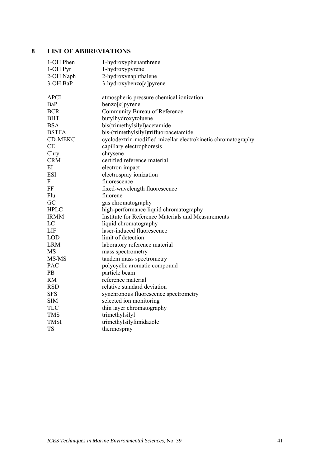## <span id="page-46-0"></span>**8 LIST OF ABBREVIATIONS**

| 1-OH Phen      | 1-hydroxyphenanthrene                                        |
|----------------|--------------------------------------------------------------|
| 1-OH Pyr       | 1-hydroxypyrene                                              |
| 2-OH Naph      | 2-hydroxynaphthalene                                         |
| 3-OH BaP       | 3-hydroxybenzo[a]pyrene                                      |
| <b>APCI</b>    | atmospheric pressure chemical ionization                     |
| BaP            | benzo[a]pyrene                                               |
| <b>BCR</b>     | Community Bureau of Reference                                |
| <b>BHT</b>     | butylhydroxytoluene                                          |
| <b>BSA</b>     | bis(trimethylsilyl)acetamide                                 |
| <b>BSTFA</b>   | bis-(trimethylsilyl)trifluoroacetamide                       |
| <b>CD-MEKC</b> | cyclodextrin-modified micellar electrokinetic chromatography |
| <b>CE</b>      | capillary electrophoresis                                    |
| Chry           | chrysene                                                     |
| <b>CRM</b>     | certified reference material                                 |
| EI             | electron impact                                              |
| <b>ESI</b>     | electrospray ionization                                      |
| F              | fluorescence                                                 |
| FF             | fixed-wavelength fluorescence                                |
| Flu            | fluorene                                                     |
| GC             | gas chromatography                                           |
| <b>HPLC</b>    | high-performance liquid chromatography                       |
| <b>IRMM</b>    | <b>Institute for Reference Materials and Measurements</b>    |
| LC             | liquid chromatography                                        |
| LIF            | laser-induced fluorescence                                   |
| <b>LOD</b>     | limit of detection                                           |
| <b>LRM</b>     | laboratory reference material                                |
| <b>MS</b>      | mass spectrometry                                            |
| MS/MS          | tandem mass spectrometry                                     |
| <b>PAC</b>     | polycyclic aromatic compound                                 |
| PB             | particle beam                                                |
| <b>RM</b>      | reference material                                           |
| <b>RSD</b>     | relative standard deviation                                  |
| <b>SFS</b>     | synchronous fluorescence spectrometry                        |
| <b>SIM</b>     | selected ion monitoring                                      |
| <b>TLC</b>     | thin layer chromatography                                    |
| <b>TMS</b>     | trimethylsilyl                                               |
| <b>TMSI</b>    | trimethylsilylimidazole                                      |
| <b>TS</b>      | thermospray                                                  |
|                |                                                              |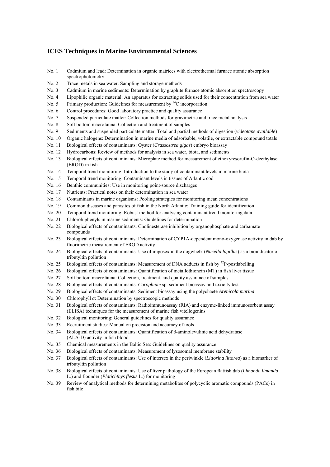#### **ICES Techniques in Marine Environmental Sciences**

- No. 1 Cadmium and lead: Determination in organic matrices with electrothermal furnace atomic absorption spectrophotometry
- No. 2 Trace metals in sea water: Sampling and storage methods
- No. 3 Cadmium in marine sediments: Determination by graphite furnace atomic absorption spectroscopy
- No. 4 Lipophilic organic material: An apparatus for extracting solids used for their concentration from sea water
- No. 5 Primary production: Guidelines for measurement by  ${}^{14}C$  incorporation
- No. 6 Control procedures: Good laboratory practice and quality assurance
- No. 7 Suspended particulate matter: Collection methods for gravimetric and trace metal analysis
- No. 8 Soft bottom macrofauna: Collection and treatment of samples
- No. 9 Sediments and suspended particulate matter: Total and partial methods of digestion (*videotape available*)
- No. 10 Organic halogens: Determination in marine media of adsorbable, volatile, or extractable compound totals
- No. 11 Biological effects of contaminants: Oyster (*Crassostrea gigas*) embryo bioassay
- No. 12 Hydrocarbons: Review of methods for analysis in sea water, biota, and sediments
- No. 13 Biological effects of contaminants: Microplate method for measurement of ethoxyresorufin-O-deethylase (EROD) in fish
- No. 14 Temporal trend monitoring: Introduction to the study of contaminant levels in marine biota
- No. 15 Temporal trend monitoring: Contaminant levels in tissues of Atlantic cod
- No. 16 Benthic communities: Use in monitoring point-source discharges
- No. 17 Nutrients: Practical notes on their determination in sea water
- No. 18 Contaminants in marine organisms: Pooling strategies for monitoring mean concentrations
- No. 19 Common diseases and parasites of fish in the North Atlantic: Training guide for identification
- No. 20 Temporal trend monitoring: Robust method for analysing contaminant trend monitoring data
- No. 21 Chlorobiphenyls in marine sediments: Guidelines for determination
- No. 22 Biological effects of contaminants: Cholinesterase inhibition by organophosphate and carbamate compounds
- No. 23 Biological effects of contaminants: Determination of CYP1A-dependent mono-oxygenase activity in dab by fluorimetric measurement of EROD activity
- No. 24 Biological effects of contaminants: Use of imposex in the dogwhelk (*Nucella lapillus*) as a bioindicator of tributyltin pollution
- No. 25 Biological effects of contaminants: Measurement of DNA adducts in fish by <sup>32</sup>P-postlabelling
- No. 26 Biological effects of contaminants: Quantification of metallothionein (MT) in fish liver tissue
- No. 27 Soft bottom macrofauna: Collection, treatment, and quality assurance of samples
- No. 28 Biological effects of contaminants: *Corophium* sp. sediment bioassay and toxicity test
- No. 29 Biological effects of contaminants: Sediment bioassay using the polychaete *Arenicola marina*
- No. 30 Chlorophyll *a*: Determination by spectroscopic methods
- No. 31 Biological effects of contaminants: Radioimmunoassay (RIA) and enzyme-linked immunosorbent assay (ELISA) techniques for the measurement of marine fish vitellogenins
- No. 32 Biological monitoring: General guidelines for quality assurance
- No. 33 Recruitment studies: Manual on precision and accuracy of tools
- No. 34 Biological effects of contaminants: Quantification of δ-aminolevulinic acid dehydratase (ALA-D) activity in fish blood
- No. 35 Chemical measurements in the Baltic Sea: Guidelines on quality assurance
- No. 36 Biological effects of contaminants: Measurement of lysosomal membrane stability
- No. 37 Biological effects of contaminants: Use of intersex in the periwinkle (*Littorina littorea*) as a biomarker of tributyltin pollution
- No. 38 Biological effects of contaminants: Use of liver pathology of the European flatfish dab (*Limanda limanda*  L.) and flounder (*Platichthys flesus* L.) for monitoring
- No. 39 Review of analytical methods for determining metabolites of polycyclic aromatic compounds (PACs) in fish bile